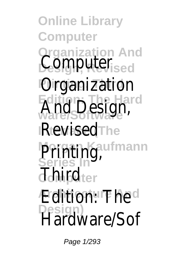**Online Library Computer Organization And** Computer<sub>sed</sub> **Organization Edition: The Hard** And Design, **IRevisedThe Morgan Kaufmann Printing, In** dhird<sub>iter</sub> **Edition: The**d **Design)** Hardware/Sof

Page 1/293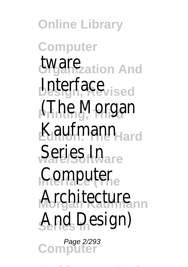**Online Library Computer** tware And **Juterface**<sub>ised</sub> **(The Morgan** Kaufmann<sub>ard</sub> **Series**<sub>ft</sub>lnare **Computer** Architecture<sub>m</sub>  $And<sub>s</sub>$ Design)

**Computer** Page 2/293

**Architecture And**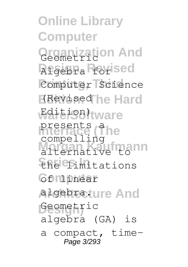**Online Library Computer Organization And** Geometric **Design, Revised** Algebra for Computer Science **Kevised he Hard** *<u>Edition</u>* tware presents (alberta) **Morgan Kaufmann** alternative to **Series In** the limitations **Computer** of linear algebrature And **Design)** Geometric compelling algebra (GA) is a compact, time-Page 3/293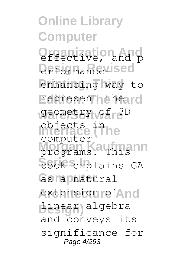**Online Library Computer Organization And** effective, and p **Deformance\_ised** enhancing way to represent the ard geometry of 3D **Interface (The** objects in **Morgan Kaufmann Series In** book explains GA  $G$ s naphatural extension of **And Design)** linear algebra computer and conveys its significance for Page 4/293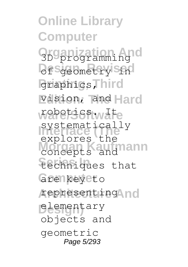**Online Library Computer Organization And** 3D programming **Dfsgeometry sind** graphics, hird vision, and Hard **ware/Software** robotics. It systematically<br> **Interface Concepts** and **Series In** techniques that are keyeto representing And **Design)** elementary explores the objects and geometric Page 5/293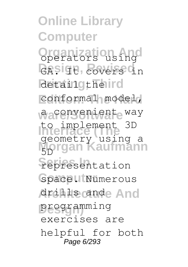**Online Library Computer Organization And** operators using **GASIGH, Covers In** detail gtheird conformal model, **waconvenient way Interface (The** to implement 3D **Kautmann Series In** representation Space. Numerous **Architecture And** drills and **Design)** programming geometry using a 5D exercises are helpful for both Page 6/293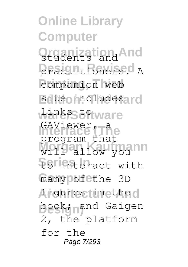**Online Library Computer Organization** And practitioners. A companion web site includesard ware<sup>3</sup>S59tware GAViewer, a<br>Interface (The will allow you  $\frac{1}{20}$  **Serifiteract** with many of ethe 3D figures in the d book; nand Gaigen program that 2, the platform for the Page 7/293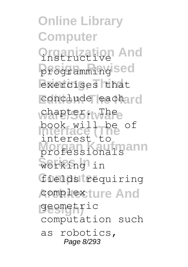**Online Library Computer Organization And** instructive **Design, Revised** programming exercises that conclude eachard **ware/Software** chapter. The book will be of **Morgan Kaufmann Series In** working in fields *requiring* complexture And **Design)** geometric nieriace<br>interest to computation such as robotics, Page 8/293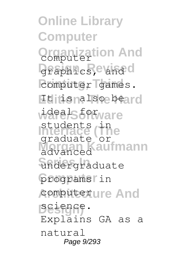**Online Library Computer Organization And** computer **graphics, existed** computer games. **It is nalso beard** wdeals5Pfware **Interface (The** students in <u>Kaufmann</u> **Series In** undergraduate programs<sup>r</sup> in computerure And **Design)** science. graduate advanced Explains GA as a natural Page 9/293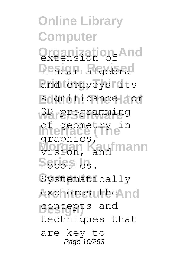**Online Library Computer Organization And** extension of linear algebra and conveys its significance for **ware/Software** 3D programming **Interface (The Morgan Kaufmann** robotics. Systematically explores the And **Design)** concepts and of geometry in graphics, vision, and techniques that are key to Page 10/293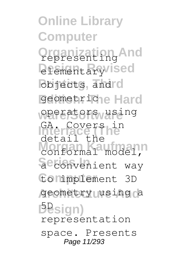**Online Library Computer Organization And** representing **Diementary** ised objects, and c geometric<sub>le</sub> Hard operators using GA. Covers in **Morgan Kaufmann** Seconvenient way **Computer** to implement 3D geometry using a **Design)** 5D detail the representation space. Presents Page 11/293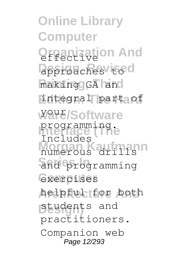**Online Library Computer Organization And** approaches tod making GA and integral part of W<sup>our</sup> Software programming.<br>The lace **Morgan Kaufmann Series In** and programming **Computer** exercises helpful for both **Design)** students and ncludes practitioners. Companion web Page 12/293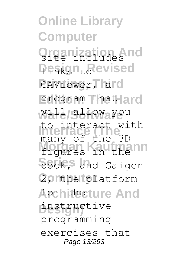**Online Library Computer Organization And Designt Revised** GAViewer, hard program that ard will/allowayeu **Interface (The** many of the 3D **Morgan Kaufmann Book,** and Gaigen 20 Ithelplatform forhtheture And **Design)** instructive to interact with programming exercises that Page 13/293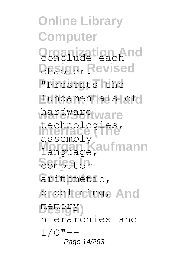**Online Library Computer Quanization And DRapter Revised "Presents the** fundamentals of hardware ware **Interface (The** technologies, **Morgan Kaufmann Series In** computer **Computer** arithmetic, **Architecture And** pipelining, **Design)** memory assembly language, hierarchies and  $I/O$ "--Page 14/293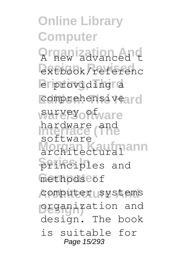**Online Library Computer Organization And** A new advanced t extbook/referenc e providing a comprehensiveard survey of ware hardware and<br>**Interface Morgan Kaufmann Selinciples** and methods cof computer systems **Design)** organization and software design. The book is suitable for Page 15/293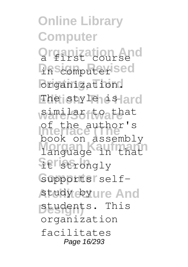**Online Library Computer Organization And** a first course **Pascomputerised** organization. **The style is ard ware/Software** similar to that **Interface (The** of the author's **Morgan Kaufmann** language in that Seristrongly **Computer** supports selfstudy by ure And **Design)** students. This on assembly organization facilitates Page 16/293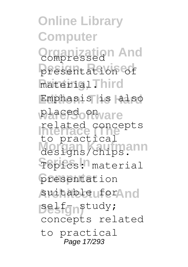**Online Library Computer Organization And** compressed **Design, Revised** presentation of materia<sub>1</sub>Third Emphasis is also placed on ware **Interface (The** related concepts designs/chips. **Series In** Topics: material presentation suitable ufor And Besfgn<sup>study;</sup> to practical concepts related to practical Page 17/293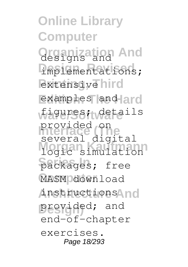**Online Library Computer Organization And** designs and Implementations; extensive hird examples and ard **ware/Software** figures; details **Interface (The** provided on **Morgan Kaufmann** logic simulation packages; free MASM download **Architecture And** instructions **Design)** provided; and several digital end-of-chapter exercises. Page 18/293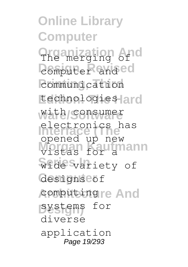**Online Library Computer Organization And** The merging of *<u>Desiputer and ed</u>* communication technologies ard with consumer **Interface (The** electronics has **Morgan Kaufmann** vistas for a **Series In** wide variety of designs cof computing re And **Design)** systems for opened up new diverse application Page 19/293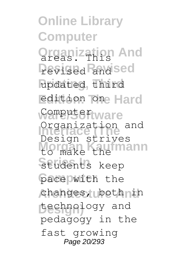**Online Library Computer Qrganization And** Pevised <sup>P</sup>andsed updated third edition one Hard Computertware **Interface (The** Design strives **Morgan Kaufmann** to make the Students keep pace with the changes, both in **Design)** technology and Organization and pedagogy in the fast growing Page 20/293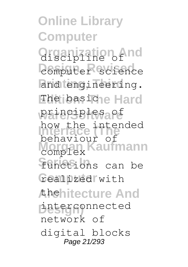**Online Library Computer Organization And** discipline of *<u>Computer</u>* science and engineering. **Edition: The Hard** The basic **ware/Software** principles of **Interface (The** behaviour of **Morgan Kaufmann** complex **Series In** functions can be **Computer** realized with **Architecture And** the **Design)** interconnected how the intended network of digital blocks Page 21/293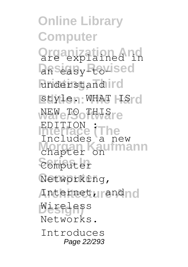**Online Library Computer Organization And** are explained in **Design, Revised** understand **rd** style. WHAT IS d NEW<sub>e</sub>TO<sub>o</sub>THIS<sub>re</sub> **EDITION**<br>Interface (The **Morgan Kaufmann** chapter on **Series In** Computer Networking, **Architecture And** Internet, and **Design)** Wireless Includes a new Networks. Introduces Page 22/293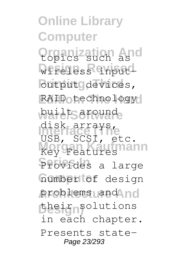**Online Library Computer Organization And** topics such as Wireless input-**Poutput** gdevices, RAID technology builts arounde **Interface (The** USB, SCSI, etc. **Morgan Kaufmann Series In** Provides a large number of design problems and no **Design)** their solutions disk arrays, in each chapter. Presents state-Page 23/293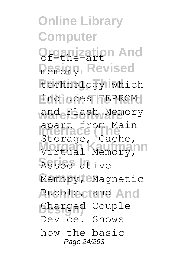**Online Library Computer Ofganization And Memory, Revised** technology which **Edition: The Hard** includes EEPROM **ware/Software** and Flash Memory **Interface (The** Storage, Cache, Virtual Memory, **Series In** Associative Memory, Magnetic **Architecture And** Bubble, and **Design)** Charged Couple . from Main Device. Shows how the basic Page 24/293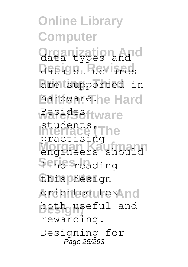**Online Library Computer Organization And** data types and data structures are supported in hardware.he Hard **Besidesftware Interface (The** students, engineers should find reading **Computer** this designoriented text nd beth useful and practising rewarding. Designing for Page 25/293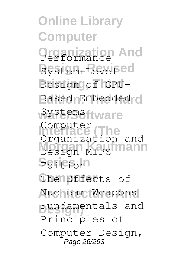**Online Library Computer Organization And** Performance Bystem-Levelsed **Design of GPU-**Based Embedded d Systems<sub>ftware</sub> **Computer**<br>Interface (The **Morgan Kaufmann** Design MIPS **Series In** Edition The **Effects** of Nuclear Weapons **Design)** Fundamentals and Organization and Principles of Computer Design, Page 26/293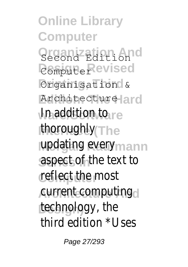**Online Library Computer Organization And** Second Edition *<u>Demputerevised</u>* **Organisation** & Architecture<sup>1</sup>ard **Jn addition to** e **ithoroughly**The updating every<sub>hann</sub> aspect of the text to reflect the most **Architecture And** current computing technology, the third edition \*Uses

Page 27/293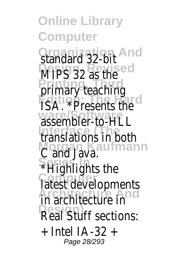**Online Library Computer Organization And MIPS 32** as the **Primary teaching Edition: The Hard** ISA. \*Presents the assembler-to-HLL **Interface (The** translations in both **Morgan Kaufmann** C and Java. **Series In** \*Highlights the **Computer**<br>latest developments **Architecture** in **Design)** Real Stuff sections: + Intel IA-32 + Page 28/293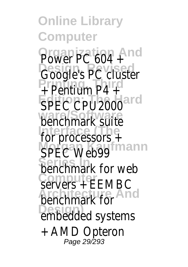**Online Library Computer** Power PC 604 + **Design, Revised** Google's PC cluster **Printing, Third** + Pentium P4 + SPEC CPU<sub>2000</sub> **ware/Software** benchmark suite for processors + SPEC Web99<sup>mann</sup> **Series In** benchmark for web **Computer** servers + EEMBC **benchmark** for not **Design)** embedded systems + AMD Opteron Page 29/293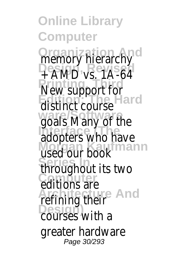**Online Library Computer Organization And** memory hierarchy **Design, Revised** + AMD vs. 1A-64 **New support for** distinct course **ware/Software** goals Many of the adopters who have used our book **Series In** throughout its two editions are refining their **And Designed**<br>
courses with a greater hardware Page 30/293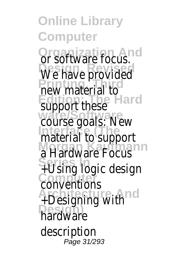**Online Library Computer** Or software focus. We have provided **Profits** support these course goals: New **Interface Section 1997** a Hardware Focus **Series In** +Using logic design **Computer** conventions +Designing with<sup>d</sup> **Design)** hardware description Page 31/293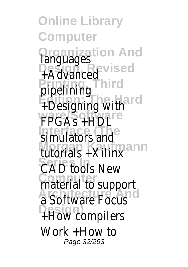**Online Library Computer Organization And Design, Revised** +Advanced **Printing, Third** pipelining **Edition: The Hard** +Designing with **FPGAs** +HDL **Interface**<br> **Interface Morgan Kaufmann** tutorials +Xilinx CAD tools New material to support **Architecture Component Design)** +How compilers languages Work +How to Page 32/293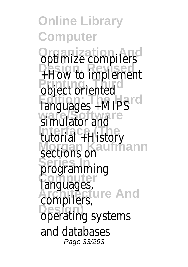**Online Library Computer Optimize compilers Design, Revised** +How to implement **Principle Internal Edition:** The Hard **warehouse** simulator and **Interface (The** tutorial +History **Morgan Kaufmann** sections on **Series In** programming languages, **Architecture And Design)** languages, compilers, operating systems and databases Page 33/293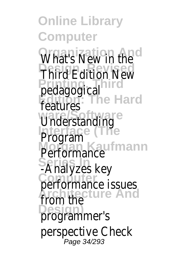**Online Library Computer** What's New in the **Third Edition New Printing, Third Edition: The Hard ware/Software Interface (The** Performance<sup>1</sup> **Series In** -Analyzes key performance issues **Architecture And** from the programmer's pedagogical features Understanding Program perspective Check Page 34/293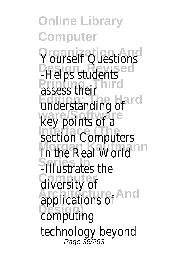**Online Library Computer Yourself Questions Designed**<br>-Helps students **Principle Statement Edition: The Hard ware/Software Interface Computers** In the Real World **Series In** -Illustrates the diversity of **Architecture And Design)** understanding of key points of a applications of computing technology beyond Page 35/293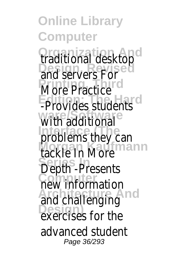**Online Library Computer Organization And** traditional desktop **Design, Revised** and servers For **More Practice Edition: The Hard** -Provides students with additional **Interface (The** can tackle In More **Series In** Depth -Presents new information Architecture And<br>
and challenging **Design)** exercises for the advanced student Page 36/293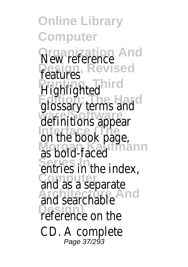**Online Library Computer Organization And** New reference **Design, Revised** features **Printing**<br> **Highlighted Edition: The Hard**<br>glossary terms a **ware/Software** definitions appear **Interface (The** on the book page, **Morgan Kaufmann** as bold-faced **Series In the index Computer**<br>
and as a separat **Architecture And** and searchable Design)<br>
reference on the CD. A complete Page 37/293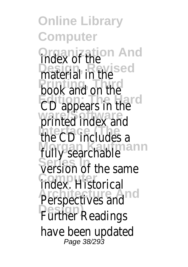**Online Library Computer Organization And** index of the **Design, Revised** material in the **Printing, Third** book and on the **Edition:** The Hard in the ware/Software in the **Intercomment** fully searchable **Series Inc.**<br>Version of the same **ndex**. **Perspectives and Design)** Further Readings Historical have been update Page 38/293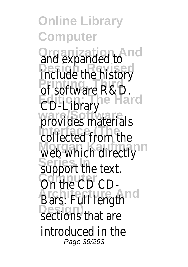**Online Library Computer Organization And** and expanded to Design, Revised to **Printing, Third** of software R&D. **Edition: The Hard** CD-Library ware/Software<br>provides material **Interested** from the Web which direct **Series Internal call 50 Computer** On the CD CD-**Architecture And** Bars: Full length **Design)** sections that are introduced in the Page 39/293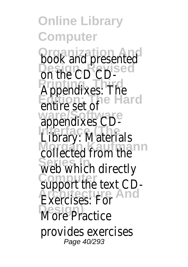**Online Library Computer nd** Design, Revised CD-Appendixes: The **Edition: The Hard** entire set of **ware/Software** appendixes CD-**Interface (The** Library: Materials **Mongolie**<br>Collected from th **Series Invited Which directly Computer** the text **Architecture And** Exercises: For **More** Practice "present provides exercise Page 40/293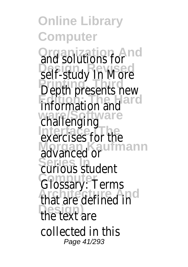**Online Library Computer Organization And** and solutions for Design, Revised<br>Self-study In More **Printing** *Printing* **Edition: The Hard** information and **ware/Software** challenging **Exercises** for the **Morgan Kaufmann** advanced or **Series In** curious student **Computer** Glossary: Terms *Architecture And* **Design)** the text are collected in this Page 41/293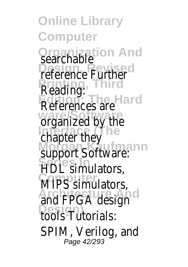**Online Library Computer Organization And** searchable Design, Revised<br>Teference Furthe Reading: **Edition: The Hard** References are **ware/Software** organized by the **Interface Morgan Kaufmann Series In** HDL simulators, **MIPS** simulators **And FPGA design Design)** tools Tutorials: SPIM, Verilog, and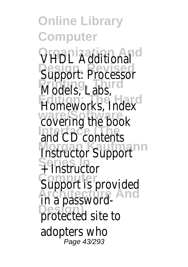**Online Library Computer Organization And** VHDL Additional **Design Revised** Models, Labs, Homeworks, Inde ware/Software, meet **Interface (The** and CD contents **Morgan Kaufmann**<br>Instructor Suppo **Series In** + Instructor **Computer** is provided **Architecture And** in a password-**Design)** protected site to adopters who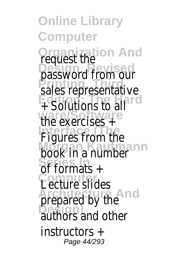**Online Library Computer Organization And** request the **Design, Revised** from c **Principal**<br>
sales representatives **Edition: The Hard** + Solutions to all **ware/Software** the exercises + **Figures** from the **Morgan Kaufmann** book in a number **Series In** of formats + **Computer** Lecture slides **Architecture And Design)** prepared by the ors and other instructors + Page 44/293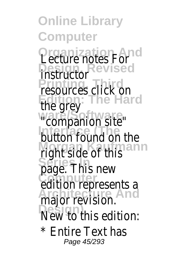**Online Library Computer Organization Andres For Design, Revised** instructor resources click o **Edition: The Hard** the grey ware ware water-**Interface**<br>**Button found on Morgan Kaufmann** right side of this page. **Computer**<br>
edition represent **Architecture And** major revision. **Design**) to this edit This new Entire Text has Page 45/293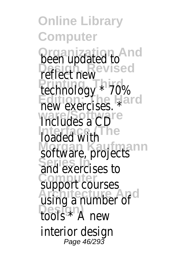**Online Library Computer Organization And** been updated to **Design, Revised** reflect new technology \* 70% **Edition: The Hard** new exercises. \* **ware/Software** Includes a CD **Ibaded** with **Morgan Kaufmann Series In Computer Architecture And** Designs \* A new software, project exercises to support courses ising a number o interior design Page 46/293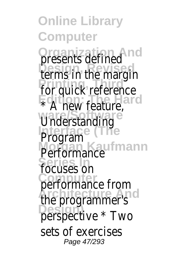**Online Library Computer Organization And Fined** Design, Revised<br>Terms\_in\_the\_mar for quick referen Edition<sup>1</sup> The Hard<br>
Feature **ware/Software Interface (The Morgan Kaufmann** Performance **Series In** focuses on **Computer Architecture And** the programmer's Design Programmer<br>
perspective \* Tw Understanding Program sets of exercises Page 47/293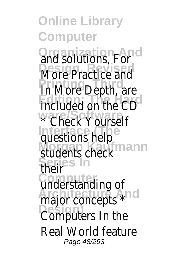**Online Library Computer Organization And Solutions, Formation More Practice and** In More Depth, a **Edition: The Hard** ware Reck<sup>are</sup> Ourself Interface The **Sand Morgan Kaufmann** students check **Series In Computer** understanding of **Architecture And** major concepts \* **Design)** Computers In the their Real World featu Page 48/293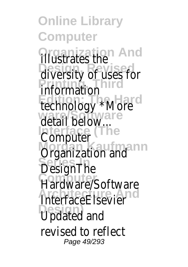**Online Library Computer Organization And** illustrates the **Design, Revised**<br>diversity of uses **Printing, Third** information technology \*Mor **ware/Software** detail below... *<u>Computer</u>* **Organization** and **Series In** DesignThe **Hardware/Softw Architecture And** InterfaceElsevier **Design)** Updated and revised to reflect Page 49/293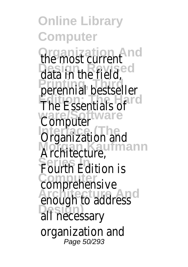**Online Library Computer Organization And<br>The most current** data in perennial<sup>®</sup> bestsel **Edition: The Hard** The Essentials of **ware/Software** Computer *<u>Organization</u>* and Architecture, **Series In** Fourth Edition is **Computer** comprehensive **Architecture And** enough to address **Design)** all necessary  $\alpha$  the field, organization and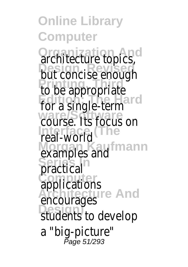**Online Library Computer Organization And topics** Design, Revised<br>**but** concise enough to be appropriate For a single-term ware/Software<br>|COULS<del>C</del>\_| Its focus **Interface Morgan Kaufmann** examples and **Series In** practical *complications* **Architecture And** encourages Design ages<br>Students to deve a "big-picture" Page 51/293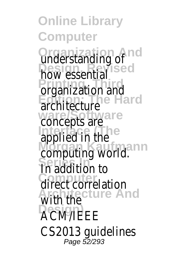**Online Library Computer Organization And** understanding of **how** essential **Printing** organization and **Edition: The Hard** architecture **ware/Software** concepts are **Interface (The** applied in the **Morgan Kaufmann** computing world. **Series In** In addition to **Computer**<br> **Contract correlation Architecture And** with the **DESIM/IEEE** CS2013 guideline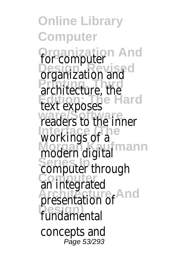**Online Library Computer Organization And** for computer **Design, Revised Printing, Third** architecture, the **Edition: The Hard** text exposes ware/Software **Interface (The** workings of a Morgan Kaufmann<br>**modern** digital Series Inter<sub>studen</sub> **Computer Architecture And** presentation of **Design)** fundamental concepts and Page 53/293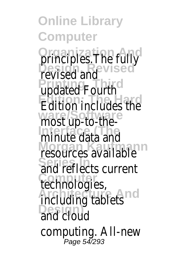**Online Library Computer Organization Andre** full **Design, Revised** revised and **Printing, Third** updated Fourth **Edition** includes the **ware/Software** most up-to-the-**Interface**<br>**Intinute** data and **Morgan Kaufmann**<br>Tesources availab Series in **bob arrange Computer** technologies, **Architecture And** including tablets **Design)** and cloud computing. All-ne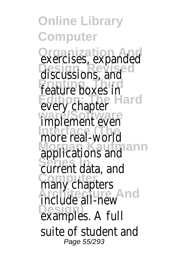**Online Library Computer Organization And<br>
exercises, expand Design, Revised** discussions, and **Printing, Third** feature boxes in **Edition:** The Hapter **ware/Software** implement even **Interface real-world Morgan Kaufmann** applications and Series India<br>Current data, and **Computer Architecture And** include all-new **Design)** examples. A full chapters suite of student Page 55/293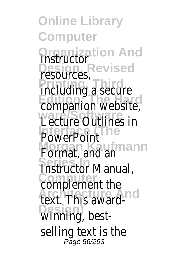**Online Library Computer Organization And** instructor **Design, Revised** resources, **Principle including** a secure **Edition:** The Hardle Website, ware/Software<br>Lecture Outlines **PowerPoint Format**, and an **Series Inc., and an Complement** the **Architecture And** text. This award-**Design)** winning, bestselling text is the Page 56/293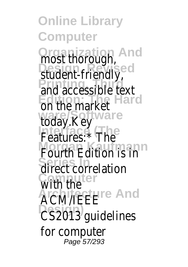**Online Library Computer Organization And**<br> **most thorough Design, Revised** student-friendly, and accessible te **Edition: The Hard** on the market **ware/Software** today.Key **Interface (The** Features:\* The **Morgan Kaufmann Series In** direct correlation **Computer** with the **ACM/IEEE<sup>nd</sup> Design : 222**<br>CS2013 guideline for computer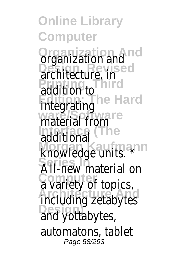**Online Library Computer Organization And** organization and Design, Revised<br>
architecture, in addition to **Edition: The Hard** integrating **ware/Software** material from **Interface (The** additional **Knowledge units. Series Internal Computer** *Computer <u>including</u>* zetabyt **Design)** and yottabytes, automatons, tabl Page 58/293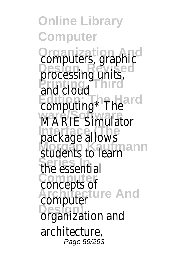**Online Library Computer Organization And Design, Revised** processing units, **Printing, Third** and cloud **Edition: The Hard** computing\* The **ware/Software** MARIE Simulator **Package** allows **Morgan Karlinger** *Series* **In**<br>the essential **Computer** concepts of **Architecture And** computer **Design)** organization and graph architecture, Page 59/293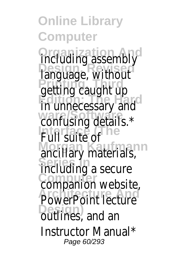**Online Library Computer Organization**<br>Including assemb **Designed**<br>Designage, without getting caught u in unnecessary a ware/Software.com **IPullace (The of Morgan Kaufmann Series In** including a secure companion website PowerPoint lectu **Design)** outlines, and an Instructor Manua Page 60/293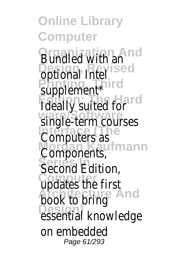**Online Library Computer** Bundled with an **Design, Revised** optional Intel supplement<sup>\*</sup> **Edition: The Hard** Ideally suited for ware/Software<br>Single-term cours **Computers** as Components, Second Edition **Coopering Lattion, Architecture And** book to bring Design)<br>
essential knowled on embedded Page 61/293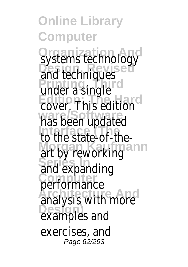**Online Library Computer Organization And<br>Systems technology Design, Revised Printing, Third Edition: The Hard** cover: Th<br>vare/Softwar<br>has been **Interface**<br>To the state-of-t **Morgan Kaufmann Series** In **Expanding Computer** performance **Architecture** With mo **Design)** examples and and techniques under a single  $\mathbb{S}^{\mathsf{u}}$ editio update exercises, and Page 62/293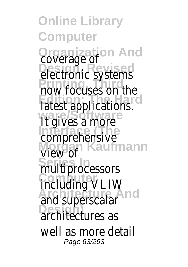**Online Library Computer Organization And** coverage of Design, Revised<br>electronic syster now focuses on **Edition: The Hard ware/Software Interface**<br> **Comprehensive Morgan Kaufmann Series In** multiprocessors **Computer** including VLIW **Architecture And** and superscalar **Design)** architectures as latest application ves a more view of well as more det Page 63/293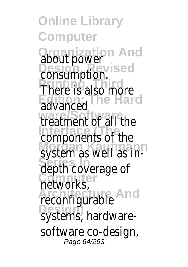**Online Library Computer Organization And** about power Design, Revised<br>Consumption. **Principle** is also more **Edition: The Hard** advanced ware/Software<br>Treatment of all **Interface Components of t Morgan Kaufmann**<br>System as Well a Septh coverage of networks **Architecture And** reconfigurable Design mas.com<br>Systems, hardwa software co-des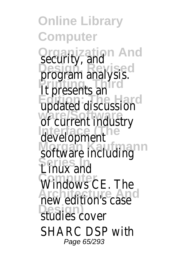**Online Library Computer Organization And** security, and **Design, Revised** program analysis. **Printing, Third** It presents an **Edition:** The Marin Contractor ware/Software.com **Interface (The** development software including **Series In** Linux and Windows CE. The **Architecture And** new edition's case **Design)** studies cover SHARC DSP with Page 65/293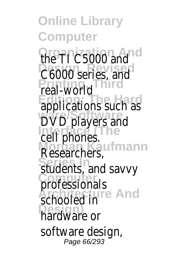**Online Library Computer The Tic5000 and** C6000 series, and real-world **Editions** such **DVD** players and **Icell** phones. Researchers, **Series Information Computer Architecture And** schooled in **Design)** hardware or software design<br>
Page 66/293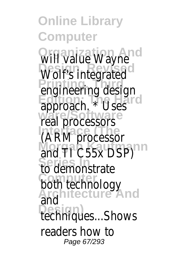**Online Library Computer** Will value Wayne Wolf's integrated **Promission Edition: The Hard** approach. \* Uses real proc **Interface (The** (ARM processor **Morgan TI C55X DSP** Series In<br>to demonstrate **Computer Architecture And Design)** ressors both technology and **iniques...Shov** readers how to Page 67/293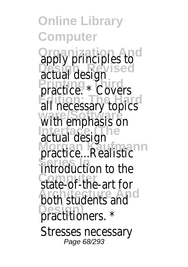**Online Library Computer Organization Andres to the Contract** apply<br>actua practice.<sup>\*</sup> Cover **Edition: The Hard contract ware/Software** with emphasis on lactual design **Morgan Coording Series In** introduction to the **Computer**<br>
state-of-the-art **Architecture And Street Design)** practitioners. \* desian Stresses necessa Page 68/293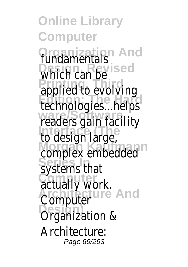**Online Library Computer Organization And Design, Revised** applied Eppired: USI STAN ware/Software<br>
readers gain facil **Interface (The** to design large, **Morgan Karlinger Series In** systems that **Computer** in the computer **Architecture And** Computer **Design)** Organization & tals  $he$ "to evolvir Architecture: Page 69/293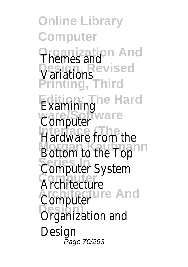**Online Library Computer Organization And** Themes and **Design, Revised** Variations **Printing, Third Edition: The Hard Computer** Hardware from t **Morgan Kaufmann Series In** Computer System **Computer** Architecture **Architecture And** Computer **Design**<br> **Organization** and Exam Design Page 70/293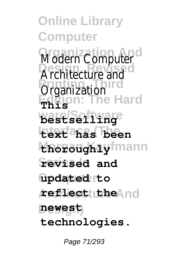**Online Library Computer Modern Compute Designed**<br>**Architecture** and **Printing**<br> **Printing Edition: The Hard This ware/Software bestselling Interface (The text has been Hasraughlyfmann Series In revised and Computer updated to Architecture And reflect the Design) newest technologies.**

Page 71/293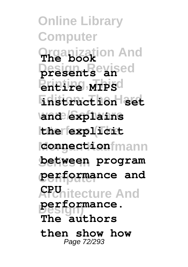**Online Library Computer Organization And The book Design, Revised presents an Printire** MIPS<sup>d</sup> **Edition: The Hard instruction set ware/Software and explains Interface (The the explicit connection**fmann **Series In between program Computer performance and Architecture And CPU Design) performance. The authors then show how** Page 72/293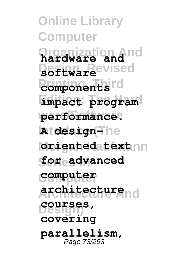**Online Library Computer Organization And hardware and Design, Revised software Promponents Edition: The Hard impact program ware/Software performance.**  $\lambda$  **A tdesign**<sup>The</sup> **loriented atext** nn **Series In for advanced Computer computer Architecture And architecture Design) courses, covering parallelism,** Page 73/293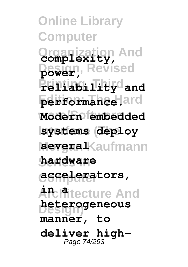**Online Library Computer Organization And complexity, Design, Revised power, Printing, Third reliability and Edition: The Hard performance. Modern** embedded **Interface (The systems deploy Morgan Kaufmann several Series In hardware Computer accelerators, Architecture And in a Design) heterogeneous manner, to deliver high-**Page 74/293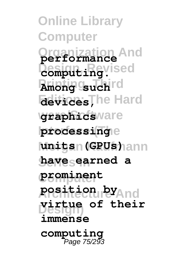**Online Library Computer Organization And performance Design, Revised computing. Among Suchird Edition: The Hard devices, waaphicsware processing**e **Morgan Kaufmann units (GPUs) Series In have earned a Computer prominent Architecture And position by Design) virtue of their immense computing** Page 75/293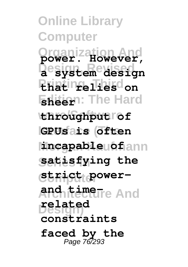**Online Library Computer Organization And power. However, Design, Revised a system design Printing, Third that relies on Edition: The Hard sheer ware/Software throughput of Interface (The GPUs is often Morgan Kaufmann incapable of Series In satisfying the Strict power-And time**Tre And **Design) related constraints faced by the** Page 76/293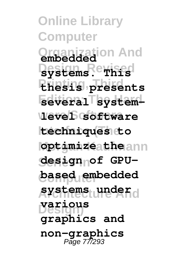**Online Library Computer Organization And embedded Design, Revised systems. This Printing, Third thesis presents Edition: The Hard several systemware/Software level software Interface (The techniques to loptimizéathe**ann **Series In design of GPU-Computer based embedded Architecture And systems under Design) various graphics and non-graphics** Page 77/293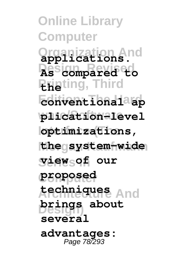**Online Library Computer Organization And applications. Design, Revised As compared to Rieting**, Third **Edition: The Hard conventional ap ware/Software plication-level Interface (The optimizations,**  $[the$  system-wide **Series In view of our Computer proposed Architecture And techniques Design) brings about several advantages:** Page 78/293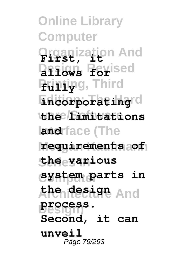**Online Library Computer Organization And First, it Design, Feyised Funiy**g, Third **Edition: The Hard incorporating ware/Software the limitations land**rface (The **Morgan Kaufmann requirements of Series In the various Computer system parts in Architecture And the design Design) process. Second, it can unveil** Page 79/293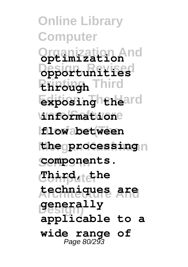**Online Library Computer Organization And optimization Design, Revised opportunities Printing, Third through Exposingheneard ware/Software information Interface (The flow between**  $[the$  processing **Series In components. Computer Third, the Architecture And techniques are Design) generally applicable to a wide range of** Page 80/293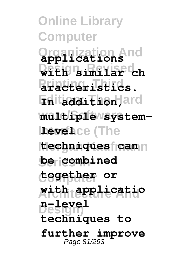**Online Library Computer Organization And applications Design, Revised with similar ch Printing, Third aracteristics.**  $F$ **Finitaddition, ware/Software multiple systemlevelce** (The **Morgan Kaufmann techniques can**  $be$  combined **Computer together or Architecture And with applicatio Design) n-level techniques to further improve** Page 81/293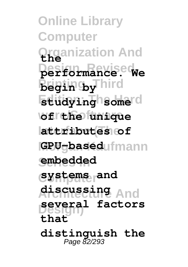**Online Library Computer Organization And the Design, Revised performance. We**  $\frac{1}{2}$ **begin by** Third  $F_{\text{studying}}$ hsomerd **ware/Software of the unique Interface (The attributes of GPU<sub>S</sub>baséd**ufmann **Series In embedded Computer systems and Architecture And discussing Design) several factors that**

**distinguish the** Page 82/293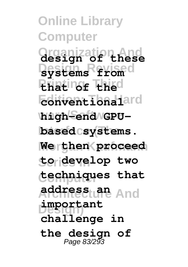**Online Library Computer Organization And design of these Design, Revised systems from Priating Third Edition: The Hard conventional ware/Software high-end GPU**based csystems. **We then proceed Series In to develop two Computer techniques that Architecture And address an Design) important challenge in the design of** Page 83/293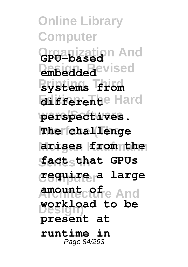**Online Library Computer Organization And GPU-based Design, Revised embedded Printing, Third systems from Edition: The Hard different ware/Software perspectives. Interface (The The challenge Morgan Kaufmann arises from the Series In fact that GPUs Computer require a large Architecture And amount of Design) workload to be present at runtime in** Page 84/293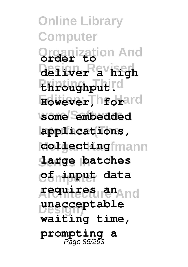**Online Library Computer Organization And order to Design, Revised deliver a high Printing, Third throughput. However, hedrard ware/Software some embedded Interface (The applications, collecting**fmann **Series In large batches Computer** data **Architecture And requires an Design) unacceptable waiting time, prompting a** Page 85/293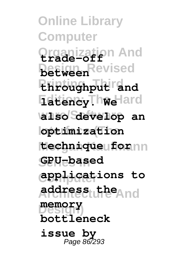**Online Library Computer Organization And trade-off Design, Revised between** *Ehroughput and* **Edition: The Hard latency. We ware/Software also develop an Interface (The optimization technique for** nn **Series In GPU-based Computer applications to Architecture And address the Design) memory bottleneck issue by** Page 86/293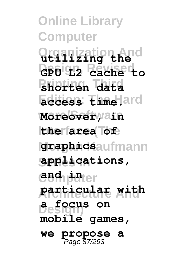**Online Library Computer Organization And utilizing the GPU L2 Cache to Printing, Third shorten data Edition: The Hard access time. ware/Software Moreover, in Ithe farea** of **Morgan Kaufmann graphics Series In applications, compthen Architecture And particular with Design) a focus on mobile games, we propose a** Page 87/293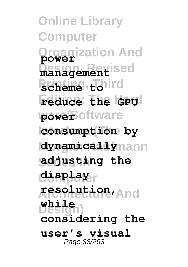**Online Library Computer Organization And power Design, Revised management Pscheme**, totird **Edition: The Hard reduce the GPU powe***b* oftware **Interface (The consumption by dynamically**mann **Series In adjusting the Computer display Architecture And resolution, Design) while considering the user's visual** Page 88/293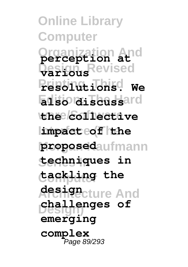**Online Library Computer Organization And perception at Design, Revised various Printing, Third resolutions. We Edition: The Hard also discuss ware/Software the collective**  $impatched$ **f** the **Morgan Kaufmann proposed Series In techniques in Computer tackling the design**ecture And **Design) challenges of emerging complex** Page 89/293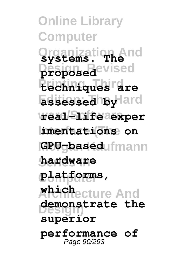**Online Library Computer Organization And systems. The Design, Revised proposed Printing, Third techniques are**  $\overline{\textbf{a}}$ ssessed by Hard **ware/Software real-life exper**  $Imentations on$ **GPU<sub>S</sub>baséd**ufmann **Series In hardware Computer platforms, Architecture And which Design) demonstrate the superior performance of** Page 90/293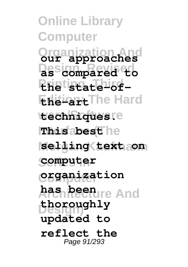**Online Library Computer Organization And our approaches Design, Revised as compared to Printing, Third the state-of-Edition: The Hard the-art techniques**re **This abesthe Morgan Kaufmann selling text on Series In computer Computer organization has been** re And **Design) thoroughly updated to reflect the** Page 91/293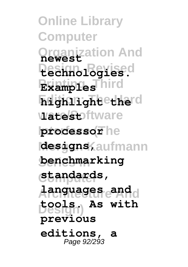**Online Library Computer Organization And newest Design, Revised technologies. Printing, Third Examples Edition: The Hard highlight the ware/Software latest processor**he **Morgan Kaufmann designs, Series In benchmarking Computer standards, Architecture And languages and Design) tools. As with previous editions, a** Page 92/293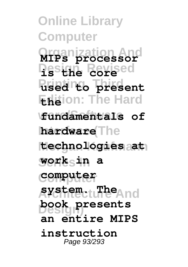**Online Library Computer Organization And MIPs processor Design, Revised is the core Printing, Third used to present Endion: The Hard ware/Software fundamentals of hardware** The **Morgan Kaufmann technologies at Series In work in a Computer computer Architecture And system. The Design) book presents an entire MIPS instruction** Page 93/293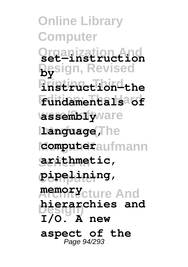**Online Library Computer Organization And set—instruction Design, Revised by Printing, Third instruction—the Edition: The Hard fundamentals of wassemblyware language**, The **computeraufmann Series In arithmetic, Computer pipelining, Architecture And memory Design) hierarchies and I/O. A new aspect of the** Page 94/293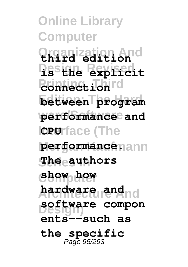**Online Library Computer Organization And third edition Design, Revised is the explicit Pronting Edition: The Hard between program ware/Software performance and IcPUrface (The** performancenann **Series In The authors Computer show how Architecture And hardware and Design) software compon ents--such as the specific** Page 95/293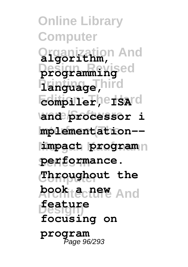**Online Library Computer Organization And algorithm, Design, Revised programming Printing, Third language,**  $\epsilon$ ompiler, **eisa** d **ware/Software and processor i Interface (The mplementation--**  $\lim$  program **Series In performance. Computer Throughout the book tecture** And **Design) feature focusing on program** Page 96/293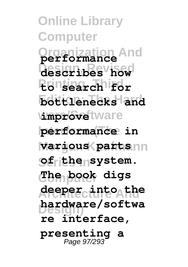**Online Library Computer Organization And performance Design, Revised describes how Printing, Third to search for Edition: The Hard bottlenecks and umprovetware**  $performance in$ **various parts** nn  $9$ **f** the nsystem. **Computer The book digs Architecture And deeper into the Design) hardware/softwa re interface, presenting a** Page 97/293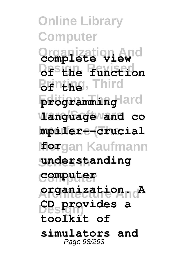**Online Library Computer Organization And complete view Design, Revised of the function** *B***irthe**, Third  $\frac{1}{2}$  programming lard **ware/Software language and co Interface (The mpiler--crucial Morgan Kaufmann for Series In understanding Computer computer Architecture And organization. A Design) CD provides a toolkit of simulators and** Page 98/293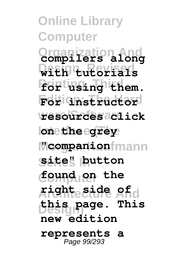**Online Library Computer Organization And compilers along Design, Revised with tutorials Printing, Third for using them. Edition: The Hard For instructor ware/Software resources click**  $lon$  the egrey **Morgan Kaufmann "companion Series In site" button Computer found on the Architecture And right side of Design) this page. This new edition represents a** Page 99/293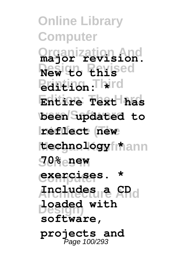**Online Library Computer Organization And major revision.**  $R$ esiqu<sub>o</sub> Envised **Printing, Third edition: \* Edition: The Hard Entire Text has ware/Software been updated to Interface (The reflect new ttechnology**fmann **Series In 70% new Computer exercises. \* Architecture And Includes a CD Design) loaded with software, projects and** Page 100/293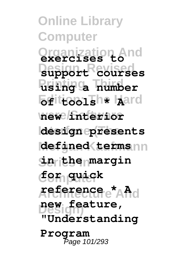**Online Library Computer Organization And exercises to Design, Revised support courses Printing, Third using a number Edition15he Aard ware/Software new interior Interface (The design presents Morgan Kaufmann defined terms Series In in the margin Computer for quick Architecture And reference \* A Design) new feature, "Understanding Program** Page 101/293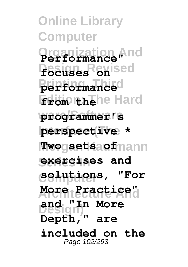**Online Library Computer Organization And Performance" Design, Revised focuses on Printing, Third performance Edition: The Hard from the ware/Software programmer's Interface (The perspective \* Morgan Kaufmann Two sets of <u>exercises</u>** and **Computer solutions, "For Architecture And More Practice" Design) and "In More Depth," are included on the** Page 102/293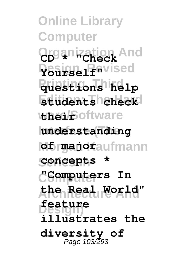**Online Library Computer Organization And CD \* "Check Design, Revised Yourself" Printing, Third questions help**  $\n **student**$  students check **thei***S* of tware **Interface (The understanding Morgan Kaufmann of major Series In concepts \* Computer "Computers In Architecture And the Real World" Design) feature illustrates the diversity of** Page 103/293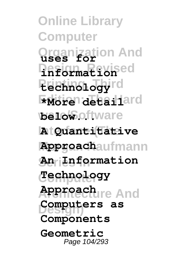**Online Library Computer Organization And uses for Design, Revised information Printing, Third technology Enore detailard ware/Software below... Interface (The A Quantitative Morgan Kaufmann Approach Series In An Information Computer Technology Architecture And Approach Design) Computers as Components Geometric** Page 104/293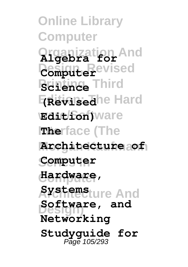**Online Library Computer Organization And Algebra for** *<u>DesignteRevised</u>* **Printing, Third Science Erevisedhe Hard ware/Software Edition) Interface (The The Morgan Kaufmann Architecture of Series In Computer Computer Hardware, Architecture And Systems Design) Software, and Networking Studyguide for** Page 105/293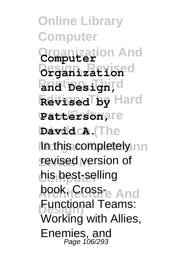**Online Library Computer Organization And Computer Design, Revised Organization Printing, Third and Design, Edition: The Hard Revised by vattersonare David CA.** (The In this completely nn revised version of **Computer** his best-selling **book, Cross-** And **Design)** Functional Teams: Working with Allies, Enemies, and<br><sup>Page 106/293</sup>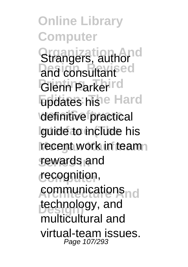**Online Library Computer Organization And** Strangers, author **Designed** Glenn Parker<sup>rd</sup> **Epdates his e Hard definitive practical** lguide to include his recent work in team **Series In** rewards and recognition, **Architecture And** communications technology, and multicultural and virtual-team issues. Page 107/293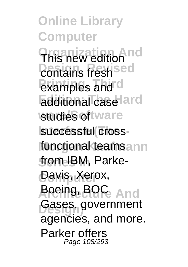**Online Library Computer Organization And** This new edition **Contains freshsed** *<u>Bxamples</u>* and **d** additional case lard **studies** of tware **Isuccessful** crossfunctional teamsann from IBM, Parke-**Computer** Davis, Xerox, **Apeing, BOC** And **Design)** Gases, government agencies, and more. Parker offers Page 108/293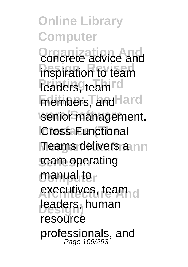**Online Library Computer Organization And** concrete advice and **inspiration** to team *<u>Readers, team</u>rd* members, and lard **ware/Software** senior management. **ICross-Functional Teams delivers a nn** team operating manual to<sub>r</sub> **executives, team** d **Design)** leaders, human resource professionals, and<br>  $P_{\text{age 109/293}}$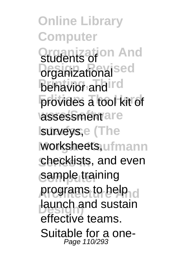**Online Library Computer Organization And** students of **Drganizational**sed **behavior and rd** provides a tool kit of **assessmentare Isurveys**,e (The worksheets, ufmann **checklists**, and even sample training **programs to belp d Design)** launch and sustain effective teams. Suitable for a one-Page 110/293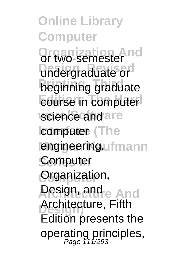**Online Library Computer Organization And** or two-semester **Undergraduate or beginning** graduate **Edurse** in computer **science and are Icomputer** (The **engineering**, ufmann **Computer Organization**, **Design, and And Design)** Architecture, Fifth Edition presents the operating principles,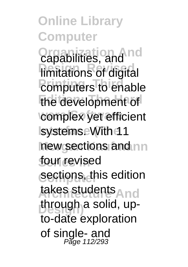**Online Library Computer Organization And** capabilities, and **Imitations of digital** *<u>Computers to enable</u>* the development of **complex yet efficient IsystemseWithe11** new sections and nn four revised sections, this edition takes students And through a solid, upto-date exploration of single- and Page 112/293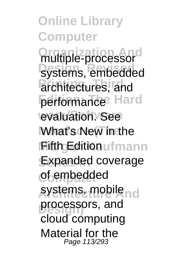**Online Library Computer Organization And** multiple-processor **Design, Revised** systems, embedded architectures, and performance<sup> Hard</sup> **ware/Software** evaluation. See **What's New in the Mith Edition**ufmann Expanded coverage of embedded **Architecture And** systems, mobile **Design)** processors, and cloud computing Material for the Page 113/293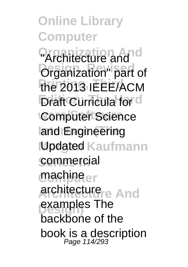**Online Library Computer** *<u>Architecture</u>* and **Organization**" part of **Printing, Third** the 2013 IEEE/ACM **Draft Curricula for d Computer Science** land **Engineering Updated Kaufmann** commercial machineer **Architecture And** architecture **Design)** examples The backbone of the book is a description Page 114/293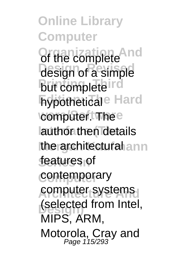**Online Library Computer Or the complete And** design of a simple **But complete** ind **Fiypotheticale Hard computer. Thee** lauthor then details **the architectural ann** features of contemporary computer systems (selected from Intel, MIPS, ARM, Motorola, Cray and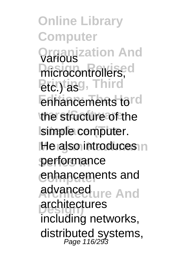**Online Library Computer Qrganization And** *<u>Designed</u>* **Printiasg, Third** enhancements tord the structure of the **Isimple computer. He also introduces n Series In** performance enhancements and **Advancedure And Design)** architectures including networks, distributed systems, Page 116/293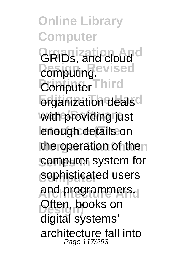**Online Library Computer GRIDS**, and cloud <sup>d</sup> **Computing** evised **Computer Third** *<u>Organization</u>* deals<sup>d</sup> with providing just lenough details on the operation of then computer system for sophisticated users and programmers. **Diten, books on** digital systems' architecture fall into Page 117/293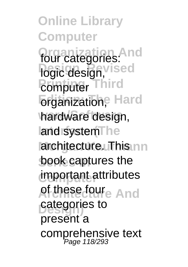**Online Library Computer Organization And** four categories: *<u>logic</u>* design, vised **Promputer Third** *<u>Edition</u>* Hard hardware design, land system<sub>The</sub> **architecture. This nn** book captures the **Computer** important attributes **Af these foure And Design)** categories to present a comprehensive text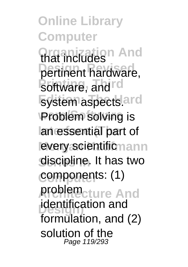**Online Library Computer Organization And** that includes **pertinent hardware, software**, and rd system aspects.ard **Problem solving is** lan essential part of levery scientificmann discipline. It has two **Computer** components: (1) **Architecture And** problem **Design)** identification and formulation, and (2) solution of the Page 119/293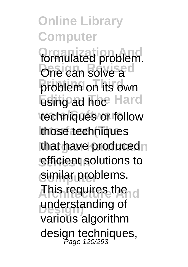**Online Library Computer formulated problem. One can solve a** problem on its own **Edition** Edition: Hard techniques or follow **Ithose techniques** that have producedn efficient solutions to similar problems. **Architecture And** This requires the **Design)** understanding of various algorithm design techniques, Page 120/293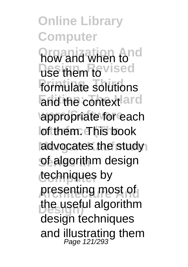**Online Library Computer Organization And** how and when to **Use them to** vised formulate solutions and the context ard **appropriate for each** loftthem. This book advocates the study of algorithm design techniques by presenting most of **Design)** the useful algorithm design techniques and illustrating them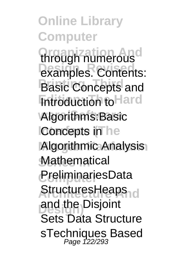**Online Library Computer Organization And** through numerous **examples.** Contents: **Basic Concepts and Introduction to Hard Algorithms:Basic Concepts in he Algorithmic Analysis Mathematical Computer** PreliminariesData **Architecture And** StructuresHeaps **and the Disjoint** Sets Data Structure sTechniques Based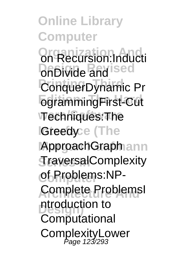**Online Library Computer Or Recursion:Inducti OnDivide and ised** ConquerDynamic Pr **Edition: The Hard** ogrammingFirst-Cut **ware/Software** Techniques:The **IGreedyce** (The **ApproachGraphann Series In** TraversalComplexity **Computer** of Problems:NP-**Complete ProblemsI D**troduction to **Computational** ComplexityLower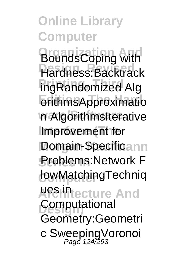**Online Library Computer BoundsCoping with Design, Revised** Hardness:Backtrack **ingRandomized Alg Edition: The Hard** orithmsApproximatio **n** AlgorithmsIterative Improvement for **Domain-Specificann** Problems:Network F **Computer** lowMatchingTechniq **APSHITECTURE And Computational** Geometry:Geometri c SweepingVoronoi<br>Page 124/293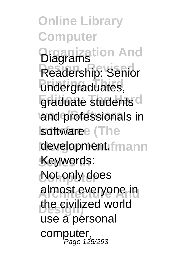**Online Library Computer Diagrams** Readership: Senior **Printing, Third** undergraduates, graduate students<sup>d</sup> **and professionals in Isoftwaree** (The **development.fmann** Keywords: Not only does **Architecture And** almost everyone in the civilized world use a personal computer, Page 125/293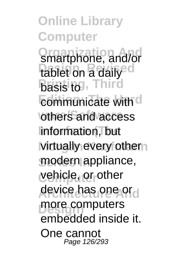**Online Library Computer Smartphone, and/or** tablet on a daily<sup>ed</sup> **basis to Third** communicate with d others and access linformation, but *Mirtually every othern* modern appliance, **Computer** vehicle, or other device has one ord **Design)** more computers embedded inside it. One cannot Page 126/293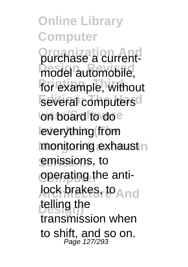**Online Library Computer Organization And** purchase a currentmodel automobile, for example, without several computers<sup>d</sup> **on board to doe** leverything from monitoring exhaust n emissions, to operating the anti**lock brakes, to And** telling the transmission when to shift, and so on. Page 127/293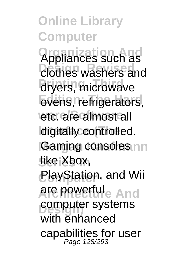**Online Library Computer Organization And** Appliances such as *<u>Clothes</u>* washers and dryers, microwave **Edition:** Edition: etc. are almost all Idigitally controlled. **Gaming consoles nn Series In** like Xbox, **Computer** PlayStation, and Wii **Are powerfule And Design)** computer systems with enhanced capabilities for user Page 128/293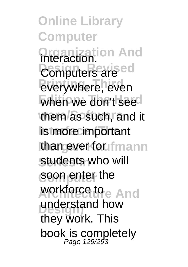**Online Library Computer Organization And** interaction. **Computers are ed everywhere, even** when we don't see them as such, and it lis more important **than ever fou fmann** students who will **Computer** soon enter the **Architecture And** workforce to **Design)** understand how they work. This book is completely Page 129/293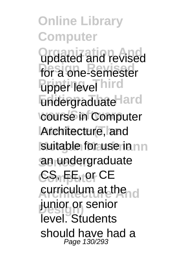**Online Library Computer <u>Orgated</u>** and revised for a one-semester **Lipper level** hird undergraduate<sup>Hard</sup> **course in Computer Architecture**, and suitable for use in nn **Series In** an undergraduate CS<sub>11</sub>FE<sub>1</sub>ter CE AHETIGHLUM at thend **Design)** junior or senior level. Students should have had a Page 130/293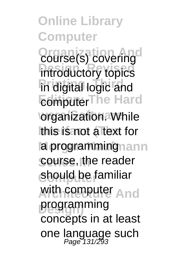**Online Library Computer Organization And** course(s) covering introductory topics **Printing, Third** in digital logic and **Edmputer** The Hard **worganization. While** Ithis is not a text for la programmingnann course, the reader **Computer** should be familiar **With computer And Design)** programming concepts in at least one language such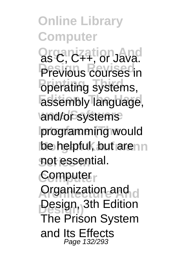**Online Library Computer Organization And Previous courses** in **Printing** systems, assembly language, and/or systems Iprogramming would be helpful, but arenn **Series In** not essential. **Computer** Computer **Arganization and d Design)** Design, 3th Edition The Prison System and Its Effects Page 132/293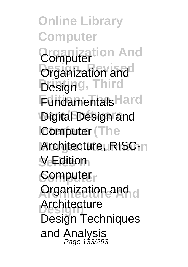**Online Library Computer Organization And** Computer **Organization** and **Presigng, Third** Fundamentals Hard *<u>Digital Design and</u>* **IComputer** (The **Architecture, RISC-n Serial Computer** Computer **Arganization and d Design)** Architecture Design Techniques and Analysis Page 133/293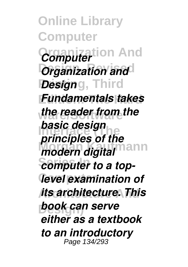**Online Library Computer Organization And** *Computer Organization and Design*g, Third **Edition: The Hard** *Fundamentals takes the reader from the Dasic* design<br>*principles of the Minorpice of the mann <u>computer</u> to a top-<u>level</u>* examination of **Architecture And** *its architecture. This* **Design)** *book can serve basic design either as a textbook to an introductory* Page 134/293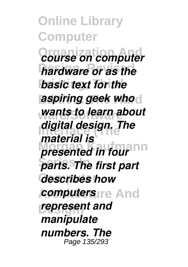**Online Library Computer Organization And** *course on computer* **hardware or as the** *basic text for the* **aspiring geek who**d wants to learn about **Interface (The** *digital design. The presented in four*<sup>nn</sup> **Series In** *parts. The first part* **Computer** *describes how computersire* And **Design)** *represent and material is manipulate numbers. The* Page 135/293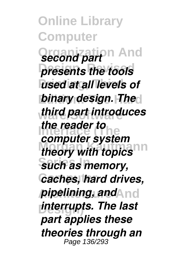**Online Library Computer Organization And** *second part* presents the tools *used at all levels of binary design. The* **ware/Software** *third part introduces* **Interface (The reader to** *theory with topics* **Series In** *such as memory,* **Computer** *caches, hard drives, pipelining, and***And** *interrupts. The last computer system part applies these theories through an* Page 136/293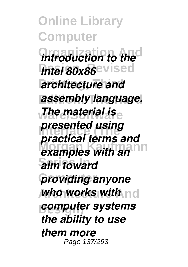**Online Library Computer Organization And** *introduction to the Intel 80x86*evised **Printing, Third** *architecture and* **Edition: The Hard** *assembly language.* **ware/Software** *The material is <u>presented</u>* using *examples with an* **Series In** *aim toward* **providing anyone** *who works with* nd **Design)** *computer systems practical terms and the ability to use them more* Page 137/293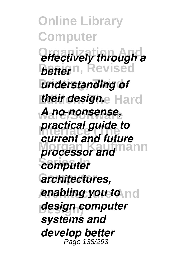**Online Library Computer** *<u>effectively</u> through a* **Design, Revised** *better* **understanding of** *their design.e* Hard **ware/Software** *A no-nonsense,* **Interface (The** *practical guide to processor and denote* **Series In** *computer* **Computer** *architectures, enabling you to* nd **Design)** *design computer current and future systems and develop better* Page 138/293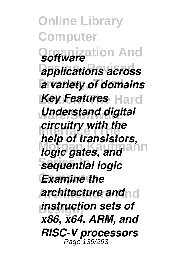**Online Library Computer Organization And** *software* **Design, Revised** *applications across* **Printing, Third** *a variety of domains Key Features* Hard **ware/Software** *Understand digital <u>Interface</u> logic gates, and*<br>*logic gates, and* **Series In** *sequential logic Examine the* **Architecture and do Design)** *instruction sets of help of transistors, x86, x64, ARM, and RISC-V processors* Page 139/293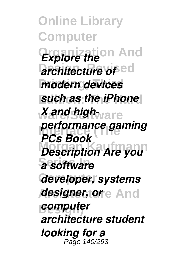**Online Library Computer Organization And** *Explore the architecture of* ed **Printing, Third** *modern devices* **such as the iPhone** *Xand highware* **Interface (The** *performance gaming Description Are you*  $\overline{a}$  software **Computer** *developer, systems designer, ore And* **Design)** *computer PCs Book architecture student looking for a* Page 140/293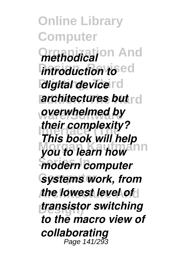**Online Library Computer Organization And** *methodical Introduction to ed digital device* rd *architectures but* rd **ware/Software** *overwhelmed by Inter complexity?* you to learn how **Series In** *modern computer* **Gystems work, from** *the lowest level of* **Design)** *transistor switching This book will help to the macro view of collaborating* Page 141/293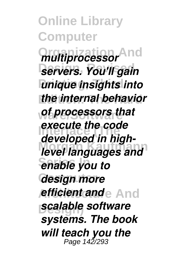**Online Library Computer Organization And** *multiprocessor* **Servers. You'll gain** *<u>unique</u> insights into* **the internal behavior ware/Software** *of processors that* **Interface (Figure 2)**<br> **Interface of the code** *level languages and* **Series In** *enable you to* **design more** *efficient ande And* **scalable software** *developed in highsystems. The book will teach you the* Page 142/293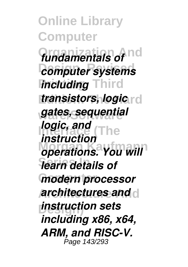**Online Library Computer fundamentals of** nd **Design, Revised** *computer systems Including* Third *transistors, logic* rd **ware/Software** *gates, sequential logic, and*<br>**Interface** (The **Motivations.** You will **Series In** *learn details of* **Computer** *modern processor* **Architectures and Design)** *instruction sets instruction including x86, x64, ARM, and RISC-V.* Page 143/293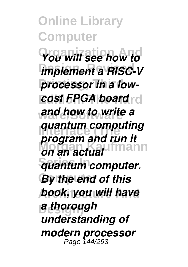**Online Library Computer Organization And** *You will see how to implement a RISC-V* **processor in a low***cost FPGA board* **d ware/Software** *and how to write a* **Interface (The** *quantum computing* **Morgan Kaufmann** *on an actual* **Series In** *quantum computer.* **By the end of this book, you will have Design)** *a thorough program and run it understanding of modern processor* Page 144/293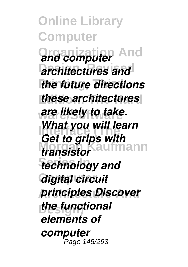**Online Library Computer Organization And** *and computer* **architectures and** *the future directions* **Edition: The Hard** *these architectures* are likely to take. *<u>Interface</u>* What you will learn **Morgan Kaufmann** *transistor* **Series In** *technology and* **Computer** *digital circuit principles Discover* **Design)** *the functional Get to grips with elements of computer* Page 145/293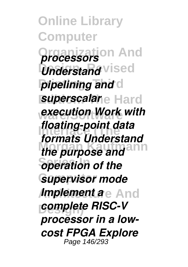**Online Library Computer Organization And** *processors Understand* vised *pipelining and* **superscalare Hard ware/Software** *execution Work with* **Interface (The** *floating-point data the purpose and*<br>*the purpose and* **Speration of the Supervisor mode** *<i>Implement a* e And **Design)** *complete RISC-V formats Understand processor in a lowcost FPGA Explore* Page 146/293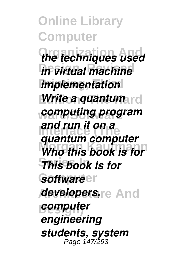**Online Library Computer Organization And** *the techniques used in virtual machine* **Implementation** *Write a quantum* rd **ware/Software** *computing program* **Interface (The** *and run it on a* **Morgan Kaufmann** *Who this book is for* **Series In** *This book is for Software developers,re And* **Design)** *computer quantum computer engineering students, system* Page 147/293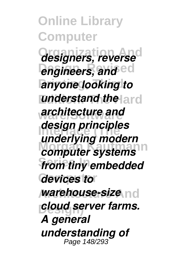**Online Library Computer Organization And** *designers, reverse <u>engineers</u>, and ed* **Printing, Third** *anyone looking to understand the ard* **ware/Software** *architecture and* **Interface (The** *design principles* emannying incubiti **Series In** *from tiny embedded* **Computer** *devices to warehouse-size* **Design)** *cloud server farms. underlying modern A general understanding of* Page 148/293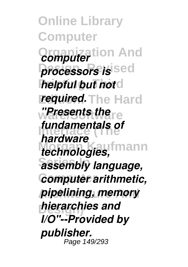**Online Library Computer Organization And** *computer* **processors** is sed *helpful but not required.* **The Hard ware/Software** *"Presents the* **Interface (The** *fundamentals of* **Morgan Kaufmann** *technologies,* **Series In** *assembly language,* **Computer** *computer arithmetic,* **Architecture And** *pipelining, memory* **Design)** *hierarchies and hardware I/O"--Provided by publisher.* Page 149/293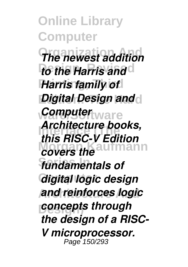**Online Library Computer Organization And** *The newest addition to the Harris and* **Harris family of** *Digital Design and* **ware/Software** *Computer* **Interface (The** *Architecture books, Covers the* aufmann **Series In** *fundamentals of* **Gigital logic design Architecture And** *and reinforces logic <u>concepts</u> through this RISC-V Edition the design of a RISC-V microprocessor.* Page 150/293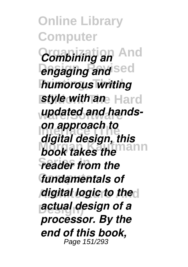**Online Library Computer Organization And** *Combining an <u>engaging</u> and sed* **humorous writing style with an** Hard wpdated and hands-*<u>Interface</u> book takes the Mann* **Freader from the Computer** *fundamentals of digital logic to the* **Design)** *actual design of a digital design, this processor. By the end of this book,* Page 151/293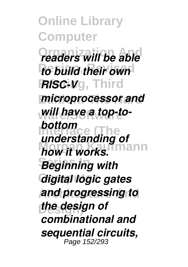**Online Library Computer Organization And** *readers will be able to build their own RISC-Vg, Third* **Edition: The Hard** *microprocessor and* will have a top-to-**Interface (The** *understanding of how it works.* **Mann Beginning with C**digital logic gates **Architecture And** *and progressing to* **Design)** *the design of bottom combinational and sequential circuits,* Page 152/293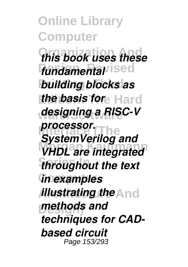**Online Library Computer Organization And** *this book uses these* fundamental<sup>/ised</sup> *building blocks as the basis fore Hard* **ware/Software** *designing a RISC-V* **Interface (The** *SystemVerilog and* **Morgan Kaufmann** *VHDL are integrated throughout the text* **Computer** *in examples illustrating the* And **Design)** *methods and processor. techniques for CADbased circuit* Page 153/293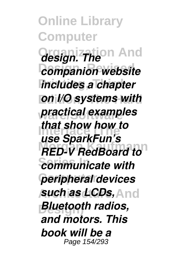**Online Library Computer Organization And** *design. The <u>companion</u>* website **includes a chapter** *<u>on</u> I/O systems with* **ware/Software** *practical examples* **Interface (The** *use SparkFun's* **Morgan Kaufmann** *RED-V RedBoard to*  $c$ ommunicate with **Computer** *peripheral devices* **Architecture And** *such as LCDs,* **Bluetooth radios,** *that show how to and motors. This book will be a* Page 154/293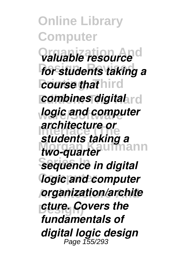**Online Library Computer Organization And** *valuable resource for students taking a course that* hird *combines digital* logic and computer **Interface (The** *architecture or* two-quarter<sup>umann</sup> **Series In** *sequence in digital logic and computer* **Architecture And** *organization/archite* **Design)** *cture. Covers the students taking a fundamentals of digital logic design* Page 155/293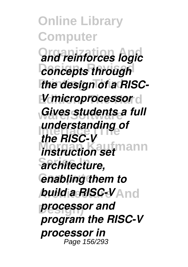**Online Library Computer Organization And** *and reinforces logic <u>concepts</u> through the design of a RISC-V microprocessor* **ware/Software** *Gives students a full* **Inderstanding of** *instruction set* mann  $\overline{a}$ *rchitecture,* **Computer** *enabling them to <i>build a RISC-V* **And processor and** *the RISC-V program the RISC-V processor in* Page 156/293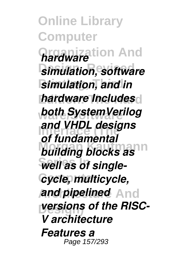**Online Library Computer Organization And** *hardware* **simulation, software Simulation, and in hardware Includes ware/Software** *both SystemVerilog* **Interface (The** *and VHDL designs building blocks as* **Series In** *well as of single-* $Cycle$ , multicycle, *and pipelined* And **Design)** *versions of the RISCof fundamental V architecture Features a* Page 157/293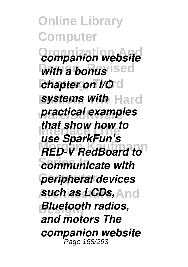**Online Library Computer Organization And** *companion website With a bonus* ised *chapter on I/O*<sup>d</sup> **systems with Hard ware/Software** *practical examples* **Interface (The** *use SparkFun's* **Morgan Kaufmann** *RED-V RedBoard to*  $c$ ommunicate with **Computer** *peripheral devices* **Architecture And** *such as LCDs,* **Bluetooth radios,** *that show how to and motors The companion website* Page 158/293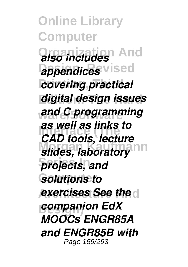**Online Library Computer Organization And** *also includes* **appendices** vised *<u>covering</u>* practical **digital design issues ware/Software** *and C programming* **INTERFACE**<br>**CAD tools, lecture** slides, laboratory<sup>nn</sup> **Series In** *projects, and* **Solutions to** *exercises See the* **Design)** *companion EdX as well as links to MOOCs ENGR85A and ENGR85B with* Page 159/293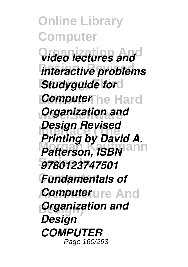**Online Library Computer Organization And** *video lectures and interactive problems Studyguide ford* **Computer** he Hard *Organization and Design Revised Patterson, ISBN* **Series In** *9780123747501* **Computer** *Fundamentals of Computerure And* **Drganization and** *Printing by David A. Design COMPUTER* Page 160/293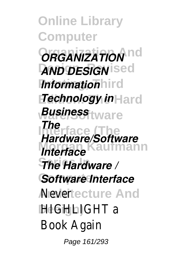**Online Library Computer Organization And** *ORGANIZATION* **AND DESIGN** ised *Information*hird **Fechnology in** Hard **ware/Software** *Business* **Interface**<br> *Hardware/Software* **Morgan Kaufmann** *Interface* **Series In** *The Hardware /* **Software Interface** Alevertecture And **DIGHLIGHT** a *The* Book Again Page 161/293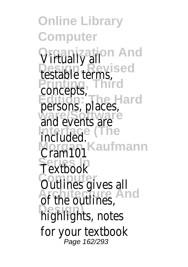**Online Library Computer Organization And Design, Revised Printing, Third Edition: The Hard ware/Software Interface (The Morgan Kaufmann Series In Computer Architecture And Design)** Virtually all testable terms, concepts, persons, places, and events are included. Cram101 Textbook Outlines gives all of the outlines, highlights, notes for your textbook Page 162/293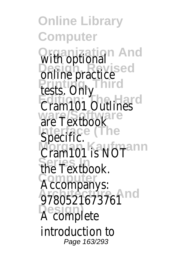**Online Library Computer Organization And Design, Revised Printing, Third Edition: The Hard ware/Software Interface (The Morgan Kaufmann Series In Computer** Architecture **And Design)** with optional online practice tests. Only Cram101 Outlines are Textbook Specific. Cram101 is NOT the Textbook. Accompanys: 9780521673761 A complete introduction to Page 163/293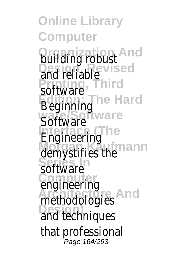**Online Library Computer Organization And Design, Revised Printing, Third Edition: The Hard ware/Software Interface (The Morgan Kaufmann** Seri<sub>uara</sub> **Computer Architecture And Design)** building robust and reliable software **Beginning Software** Engineering demystifies the software engineering methodologies and techniques that professional Page 164/293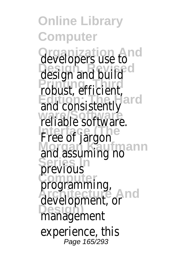**Online Library Computer Organization And Design, Revised Problect** officion **Edition: The Hard ware/Software Interface (The Morgan Kaufmann Series In Computer Architecture And Design)** developers use to design and build robust, efficient, and consistently reliable software. Free of jargon and assuming no previous programming, development, or management experience, this Page 165/293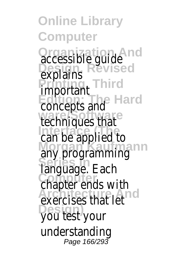**Online Library Computer Organization And Design, Revised Printing, Third Edition: The Hard ware/Software Interface (The** Morgan Kaufmann **Series In Computer Architecture And Design)** accessible guide explains important concepts and techniques that can be applied to any programming language. Each chapter ends with exercises that let you test your understanding Page 166/293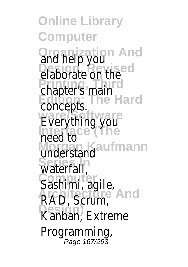**Online Library Computer Organization And Design, Revised Printing, Third Edition: The Hard ware/Software Interface (The Morgan Kaufmann Series In Computer Architecture And Design)** and help you elaborate on the chapter's main concepts. Everything you need to understand waterfall, Sashimi, agile, RAD, Scrum, Kanban, Extreme Programming,<br>Page 167/293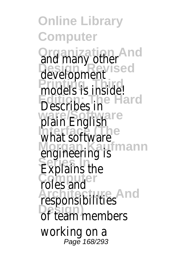**Online Library Computer Organization And Design, Revised Printing**, Theodor **Edition: The Hard ware/Software Interface (The Morgan Kaufmann Series In Computer Architecture And Design)** and many other development models is inside! Describes in plain English what software engineering is Explains the roles and responsibilities of team members working on a Page 168/293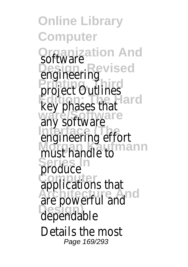**Online Library Computer Organization And Design, Revised Printing, Third Edition: The Hard ware/Software Interface (The Morgan Kaufmann Series In Computer Architecture And Design)** software engineering project Outlines key phases that any software engineering effort must handle to produce applications that are powerful and dependable Details the most Page 169/293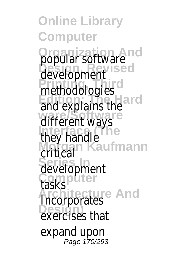**Online Library Computer Organization And Design, Revised Printing Edition: The Hard ware/Software Interface (The Morgan Kaufmann Series In Computer Architecture And Design)** popular software development methodologies and explains the different ways they handle critical development tasks Incorporates exercises that expand upon<br>Page 170/293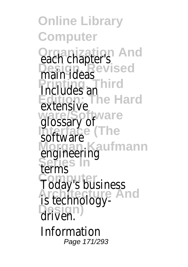**Online Library Computer Organization And Design, Revised Printing, Third Edition: The Hard ware/Software Interface (The Morgan Kaufmann Series In Computer Architecture And Design)** each chapter's main ideas Includes an extensive glossary of software engineering terms Today's business is technologydriven. Information Page 171/293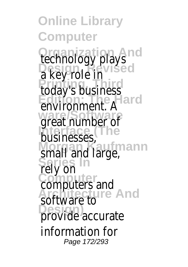**Online Library Computer Organization And Design, Revised Printing, Third Edition: The Hard ware/Software Interface (The Morgan Kaufmann Series In Computer Architecture And Design)** technology plays a key role in today's business environment. A great number of businesses, small and large, rely or computers and software to provide accurate information for Page 172/293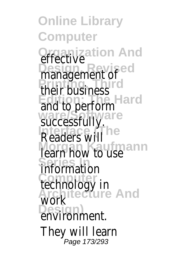**Online Library Computer Organization And Design, Revised Printing Edition: The Hard ware/Software Interface (The Morgan Kaufmann Series In Computer Architecture And Design)** effective management of their business and to perform successfully. Readers will learn how to use information technology in work environment. They will learn<br>Page 173/293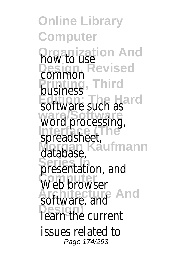**Online Library Computer Organization And Design, Revised Printing, Third Edition: The Hard ware/Software Interface (The Morgan Kaufmann Series In COMPUTER Architecture And Design)** how to use common business software such as word processing, spreadsheet, database, presentation, and Web browser software, and learn the current issues related to Page 174/293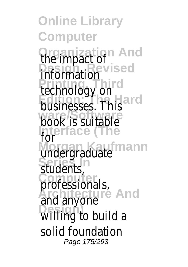**Online Library Computer Organization And Design, Revised Printing, Third Edition: The Hard ware/Software Interface (The Morgan Kaufmann Series In Computer Architecture And Design)** the impact of information technology on businesses. This book is suitable f $\cap$ undergraduate students, professionals, and anyone willing to build a solid foundation Page 175/293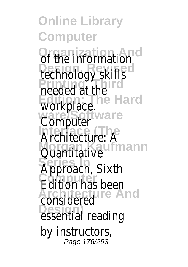**Online Library Computer Organization And Design, Revised Printing, Third Edition: The Hard ware/Software Interface (The Morgan Kaufmann Series In Computer Architecture And Design)** of the information technology skills needed at the workplace. Computer Architecture: A Quantitative Approach, Sixth Edition has been considered essential reading by instructors, Page 176/293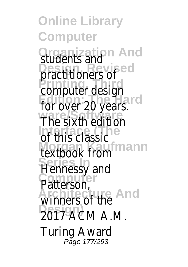**Online Library Computer Organization And Design, Revised Pressures** Edition: The Hard **ware/Software Interface (The Morgan Kaufmann Series In Computer Architecture And Design)** students and practitioners of computer design for over 20 years. The sixth edition of this classic textbook from Hennessy and Patterson, winners of the 2017 ACM A.M. Turing Award Page 177/293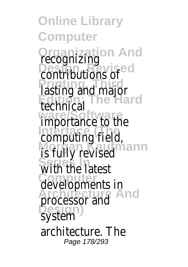**Online Library Computer Organization And Design, Revised Printing**, Third<sup>1</sup> **Edition: The Hard ware/Software Interface (The Morgan Kaufmann Series In Computer Architecture And Design)** recognizing contributions of lasting and major technical importance to the computing field, is fully revised with the latest developments in processor and system architecture. The Page 178/293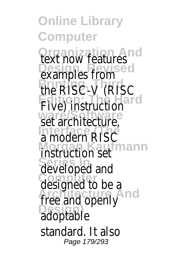**Online Library Computer Organization And Design, Revised Printing Edition: The Hard ware/Software** Interface **DICA Morgan Kaufmann Series In Computer Architecture And Design)** text now features examples from the RISC-V (RISC Five) instruction set architecture, a modern RISC instruction set developed and designed to be a free and openly adoptable standard. It also Page 179/293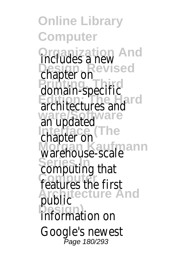**Online Library Computer Organization And Design, Revised Printing Edition: The Hard ware/Software Interface (The Morgan Kaufmann Series In Computer Architecture And Design)** includes a new chapter on domain-specific architectures and an updated chapter on warehouse-scale computing that features the first public information on Google's newest Page 180/293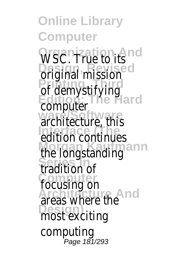**Online Library Computer Organization And Design, Revised Printing Edition: The Hard ware/Software Interface (The Morgan Kaufmann Series In Computer Architecture And Design)** WSC. True to its original mission of demystifying computer architecture, this edition continues the longstanding tradition of focusing on areas where the most exciting computing Page 181/293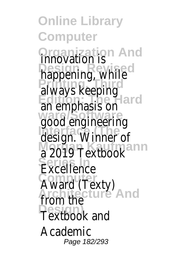**Online Library Computer Organization And Design, Revised Printing, Theorie Edition: The Hard ware/Software Interface (The Morgan Kaufmann Series In Computer Architecture And Design)** innovation is happening, while always keeping an emphasis on good engineering design. Winner of a 2019 Textbook Excellence Award (Texty) from the Textbook and Academic Page 182/293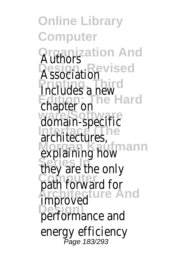**Online Library Computer Organization And Design, Revised Printing, Third Edition: The Hard ware/Software Interface (The Morgan Kaufmann Series In Computer Architecture And Design)** Authors Association Includes a new chapter on domain-specific architectures, explaining how they are the only path forward for improved performance and energy efficiency Page 183/293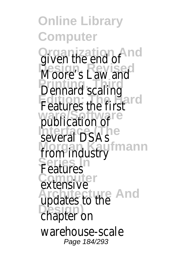**Online Library Computer Organization And Design, Revised Printing, Third Edition: The Hard ware/Software Interface (The Morgan Kaufmann Series In Computer Architecture And Design)** given the end of Moore's Law and Dennard scaling Features the first publication of several DSAs from industry Features extensive updates to the chapter on warehouse-scale Page 184/293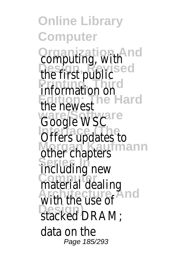**Online Library Computer Organization And Design, Revised Printing, Third Edition: The Hard ware/Software Interface (The Morgan Kaufmann Series In Computer Architecture And Design)** computing, with the first public information on the newest Google WSC Offers updates to other chapters including new material dealing with the use of stacked DRAM; data on the Page 185/293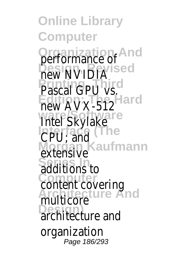**Online Library Computer Organization And Design, Revised Printing, Third Edition: The Hard ware/Software Interface (The Morgan Kaufmann Series In Computer Architecture And Design)** performance of new NVIDIA Pascal GPU vs. new AVX-512 Intel Skylake CPU; and extensive additions to content covering multicore architecture and organization Page 186/293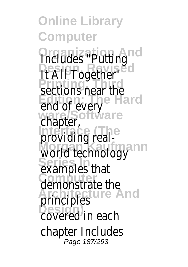**Online Library Computer Organization And Design, Revised Printing, Third Edition: The Hard ware/Software Interface (The Morgan Kaufmann Series In Computer Architecture And Design)** Includes "Putting It All Together" sections near the end of every chapter, providing realworld technology examples that demonstrate the principles covered in each chapter Includes Page 187/293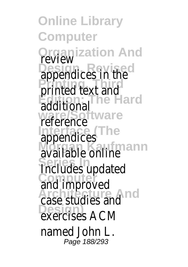**Online Library Computer Organization And Design, Revised Printing, Third Edition: The Hard ware/Software Interface (The Morgan Kaufmann Series In Computer Architecture And Design)** review appendices in the printed text and additional reference appendices available online Includes updated and improved case studies and exercises ACM named John L. Page 188/293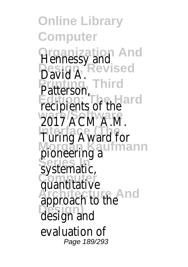**Online Library Computer Organization And Design, Revised Printing, Third Edition: The Hard ware/Software Interface (The Morgan Kaufmann Series In Computer Architecture And Design)** Hennessy and David A. Patterson, recipients of the 2017 ACM A.M. Turing Award for pioneering a systematic, quantitative approach to the design and evaluation of Page 189/293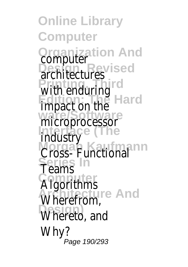**Online Library Computer Organization And Design, Revised Printing, Third Edition: The Hard ware/Software Interface (The Morgan Kaufmann Series In Computer Architecture** And **Design)** computer architectures with enduring impact on the microprocessor industry Cross- Functional Teams Algorithms Wherefrom, Whereto, and Why? Page 190/293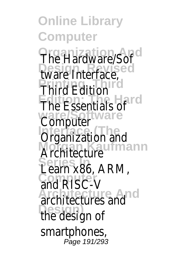**Online Library Computer Organization And Design, Revised Printing, Third Edition: The Hard ware/Software Interface (The Morgan Kaufmann Series In Computer Architecture And Design)** The Hardware/Sof tware Interface, Third Edition The Essentials of Computer Organization and Architecture Learn x86, ARM, and RISC-V architectures and the design of smartphones, Page 191/293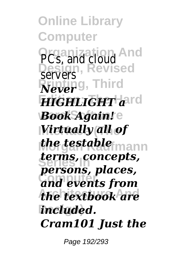**Online Library Computer Organization And Design, Revised**  $Never<sup>g</sup>$ , Third  $H$ *HIGHLIGHT a*nd *Book Again!* **Interface (The** *Virtually all of the testable* mann **Series In** *terms, concepts,* **Computer** *and events from* the textbook are **Design)** *included.* PCs, and cloud servers *persons, places, Cram101 Just the*

Page 192/293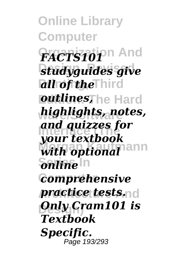**Online Library Computer**  $FACTS101<sup>p</sup>$  And studyguides give *all of the* **Third Edition: The Hard** *outlines,* **ware/Software** *highlights, notes,* **Interface (The** *your textbook* with optional<sup>nann</sup> **Serifie**ln  $Comprehensive$ *practice tests.* $\cap$ d **Design)** *Only Cram101 is and quizzes for Textbook Specific.* Page 193/293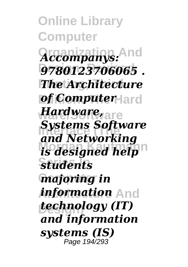**Online Library Computer Organization And** *Accompanys:* **Design, Revised** *9780123706065 .* **The Architecture** *of Computer* **Hard ware/Software** *Hardware,* **Interface (The** *and Networking is designed help* **Series In** *students* **Computer** *majoring in information* And **Design)** *technology (IT) Systems Software and information systems (IS)* Page 194/293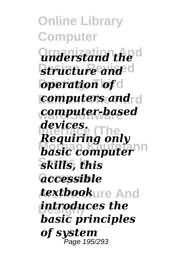**Online Library Computer Organization And** *understand the structure and operation of computers and* **ware/Software** *computer-based* **Interface (The** *Requiring only Morganing Siny*<br>*basic computer* **Series In** *skills, this* **Computer** *accessible* **Architecture And** *textbook* **Design)** *introduces the devices. basic principles of system* Page 195/293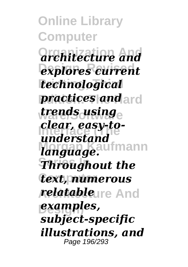**Online Library Computer Organization And** *architecture and* **Design, Revised** *explores current* **Printing, Third** *technological practices* **and ard ware/Software** *trends using* **Interface (The** *understand language.* With ann **Series In** *Throughout the* **Computer** *text, numerous relatable*ure And **Design)** *examples, clear, easy-tosubject-specific illustrations, and* Page 196/293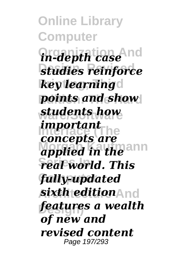**Online Library Computer Organization And** *in-depth case* studies reinforce *key learning* **Edition: The Hard** *points and show* **ware/Software** *students how Important doncepts are*<br>*applied in the* **Series In** *real world. This* **Computer** *fully-updated* **Architecture And** *sixth edition* **Design)** *features a wealth important of new and revised content* Page 197/293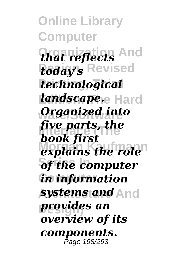**Online Library Computer Organization And** *that reflects today's* Revised **Printing, Third** *technological landscape.* Hard **ware/Software** *Organized into* **Interface (The** *five parts, the* explains the role<sup>n</sup>  $\delta f$ <sup>the</sup> computer  $f$ *in information systems and* And **Design)** *provides an book first overview of its components.* Page 198/293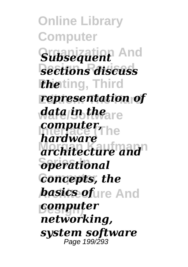**Online Library Computer Organization And** *Subsequent* **Design, Revised** *sections discuss theting, Third* **Edition: The Hard** *representation of data in the***<sub>are</sub> Interface (The** *computer, architecture and* **Series In** *operational*  $Concepts, the$ *<i>basics of***ure And Design)** *computer hardware networking, system software* Page 199/293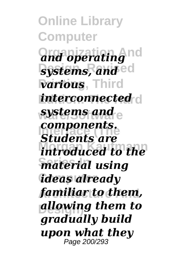**Online Library Computer Organization And** *and operating <u>systems, and</u> ed various*, Third **interconnected systems and Interface (The** *components. introduced to the* **Series In** *material using ideas* already **Architecture And** *familiar to them,* **Design)** *allowing them to Students are gradually build upon what they* Page 200/293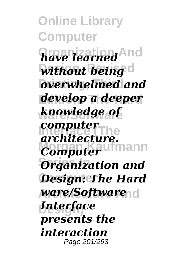**Online Library Computer Organization And** *have learned <u>without</u> being*<sup>d</sup> *<u>overwhelmed</u>* and **Edition: The Hard** *develop a deeper* **ware/Software** *knowledge of computer*<br>architecture. **Computer** Wimann **Series In** *Organization and* **Design:** The Hard *ware/Software* **Design)** *Interface computer presents the interaction* Page 201/293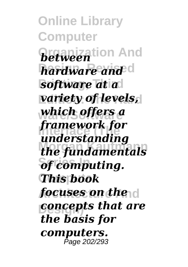**Online Library Computer Organization And** *between* **Design, Revised** *hardware and* **software** at a **Edition: The Hard** *variety of levels,* **ware/Software** *which offers a* **Interface (The** *understanding the fundamentals*  $\delta$ *f* computing. **Computer** *This book focuses on the* **Design)** *concepts that are framework for the basis for computers.* Page 202/293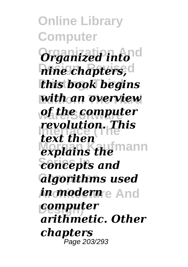**Online Library Computer Organization And** *Organized into* **Design, Revised** *nine chapters,* **Printing, Third** *this book begins* **Edition: The Hard** *with an overview* of the computer **Interface (The** *revolution. This* explains the mann **Series In** *concepts and*  $a$ *lgorithms used* **Architecture And** *in modern* **Design)** *computer text then arithmetic. Other chapters* Page 203/293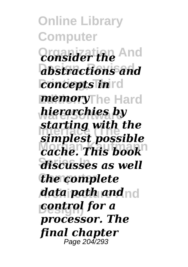**Online Library Computer Organization And** *consider the* **Design, Revised** *abstractions and concepts in* rd *memory***The Hard ware/Software** *hierarchies by* **Interface (The** *simplest possible* **Morgan Kaufmann** *cache. This book* **Series In** *discusses as well*  $\epsilon$ *the complete data path and* **nd Design)** *control for a starting with the processor. The final chapter* Page 204/293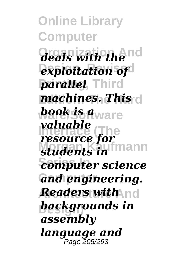**Online Library Computer Organization And** *deals with the exploitation of parallel*, Third *machines. This* **d** *book is aware* **Interface (The** *resource for students in* mann **Series In** *computer science*  $G$ and engineering. *Readers with***And Design)** *backgrounds in valuable assembly language and* Page 205/293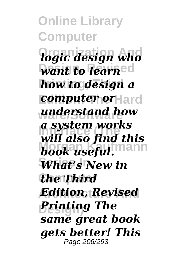**Online Library Computer Organization And** *logic design who <u>want</u> to learned* **how to design a** *computer or Hard* **wnderstand how Interface (The** *will also find this book useful.* mann **Series In** *What's New in* **Computer** *the Third* **Architecture And** *Edition, Revised* **Design)** *Printing The a system works same great book gets better! This* Page 206/293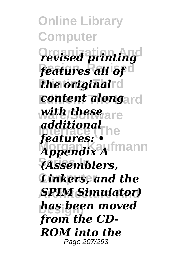**Online Library Computer Organization And** *revised printing* **Design, Revised** *features all of the original content alongard* **ware/Software** *with these <u>additional</u>*<br>**Facture Morgan Kaufmann** *Appendix A* **Series In** *(Assemblers, Linkers, and the* **Architecture And** *SPIM Simulator)* **Design)** *has been moved features: • from the CD-ROM into the* Page 207/293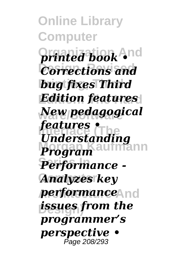**Online Library Computer Organization And** *printed book • Corrections and* **Printing, Third** *bug fixes Third Edition features* **ware/Software** *New pedagogical* **Interface (The** *Understanding* **Morgan Kaufmann** *Program*  $Performance$  -**Analyzes key** *performance* **Design)** *issues from the features • programmer's perspective •* Page 208/293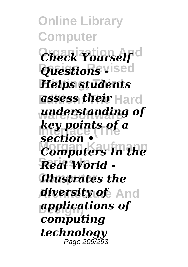**Online Library Computer Organization And** *Check Yourself*  $Q$ *uestions vised* **Helps students assess their Hard ware/Software** *understanding of* **Interface (The** *key points of a Computers In the* **Series In** *Real World -* **Computer** *Illustrates the* **Architecture And** *diversity of* **Design)** *applications of section • computing technology* Page 209/293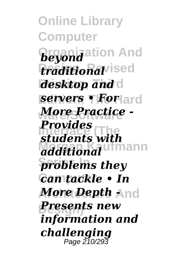**Online Library Computer Organization And** *beyond*  $\boldsymbol{b}$ *raditional*<sup>ised</sup> *desktop and servers Forlard* **ware/Software** *More Practice -* **Interface (The** *students with additional* Imann **Series In** *problems they* **Computer** *can tackle • In*  $\bm{More}$  Depth  $\bm{\mathsf{And}}$ **Design)** *Presents new Provides information and challenging* Page 210/293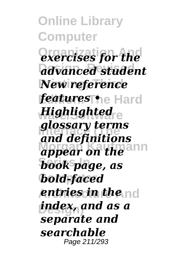**Online Library Computer Organization And** *exercises for the* **Design, Revised** *advanced student* **New reference** *features Hard Highlighted***re Interface (The** *glossary terms* and appear on the ann **Series In** *book page, as* bold-faced *entries in the <code>nd</code>* **Design)** *index, and as a and definitions separate and searchable* Page 211/293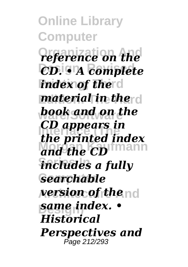**Online Library Computer Organization And** *reference on the* **Design, Revised** *CD. • A complete index of the*<sup>d</sup> *material in the d* **ware/Software** *book and on the* **Interface (The** *the printed index* and the CD<sup>Imann</sup> **Series In** *includes a fully* **Computer** *searchable* **Architecture And** *version of the* **Design)** *same index. • CD appears in Historical Perspectives and* Page 212/293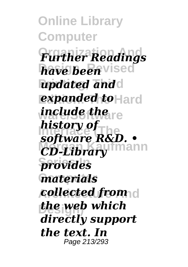**Online Library Computer Organization And** *Further Readings* **have been** vised *updated and expanded to* **Hard ware/Software** *include the* **Instary of**<br>*software* R&D. • **Morgan Kaufmann** *CD-Library* **Series In** *provides* **Computer** *materials* **Architecture And** *collected from* **Design)** *the web which history of directly support the text. In* Page 213/293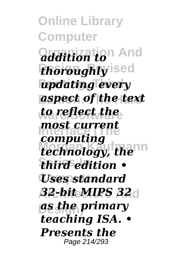**Online Library Computer Organization And** *addition to thoroughly* ised **updating every Edition: The Hard** *aspect of the text* **ware/Software** *to reflect the* **Interface (The** *computing technology, the* **Series In** *third edition •* **Computer** *Uses standard* **Architecture And** *32-bit MIPS 32* **Design)** *as the primary most current teaching ISA. • Presents the* Page 214/293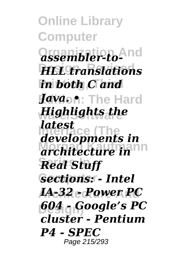**Online Library Computer Organization And** *assembler-to-***Design, Revised** *HLL translations* **Printing, Third** *in both C and Java***.n: The Hard ware/Software** *Highlights the* **Interface (The** *developments in* architecture in<sup>nn</sup> **Series In** *Real Stuff* **Gections: - Intel Architecture And** *IA-32 - Power PC* **Design)** *604 - Google's PC latest cluster - Pentium P4 - SPEC* Page 215/293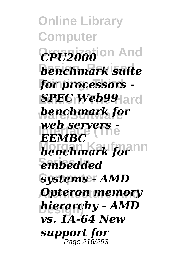**Online Library Computer Organization And** *CPU2000* **Design, Revised** *benchmark suite*  $for$  processors - $SPEG <sub>W</sub>$ *eb99*-lard **ware/Software** *benchmark for* **Interface (The** *web servers benchmark for* **Series In** *embedded* **Computer** *systems - AMD Opteron memory* **Design)** *hierarchy - AMD EEMBC vs. 1A-64 New support for* Page 216/293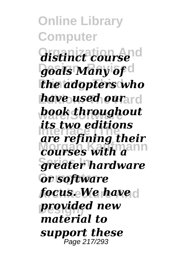**Online Library Computer Organization And** *distinct course* **Design, Revised** *goals Many of* **Printing, Third** *the adopters who have used ourard* **ware/Software** *book throughout* **Interface (The** *are refining their courses with a*<sup>nn</sup> **Series In** *greater hardware* **Computer** *or software focus. We have* **Design)** *provided new its two editions material to support these* Page 217/293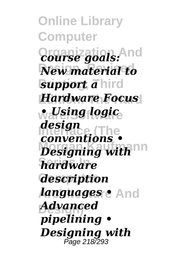**Online Library Computer Organization And** *course goals:* **Design, Revised** *New material to support a hird* **Hardware Focus ware/Software** *• Using logic* **Interface (The** *conventions • Designing with* **Series In** *hardware* **Computer** *description languages •* And **Design)** *Advanced design pipelining • Designing with* Page 218/293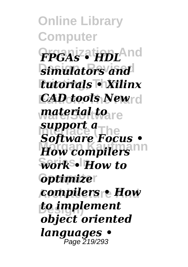**Online Library Computer Organization And** *FPGAs • HDL* **Design, Revised** *simulators and* **Printing, Third** *tutorials • Xilinx CAD tools New***rd** *material to***<sub>are</sub> Interface**<br>**Interface How compilers Series In** *work • How to <u>Optimizer</u>* **Architecture And** *compilers • How* **Design)** *to implement Software Focus • object oriented languages •* Page 219/293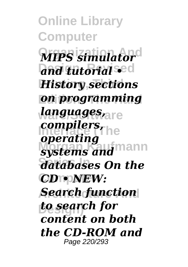**Online Library Computer Organization And** *MIPS simulator <u>and tutorial</u>* **History sections Edition: The Hard** *on programming languages*<sub>are</sub> *Compilers,* **The** *systems and* mann  $\overrightarrow{a}$ *databases On the* **Computer** *CD • NEW:* **Search function Design)** *to search for operating content on both the CD-ROM and* Page 220/293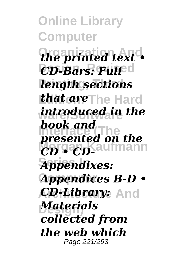**Online Library Computer Organization And** *the printed text •*  $CD$ -Bars: Fulled *length sections that are* **The Hard ware/Software** *introduced in the* **Interface (The** *presented on the*  $CD$  • CD-aufmann **Series In** *Appendixes:* Appendices **B-D** • **Architecture And** *CD-Library:* **Design)** *Materials book and collected from the web which* Page 221/293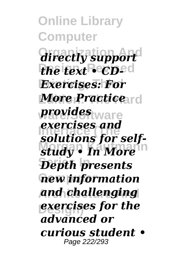**Online Library Computer Organization And** *directly support*  $\frac{1}{2}$ *Revised Exercises: For More Practice* **ware/Software** *provides* exercises and<br>**solutions for self**study • In More  $Deph$  presents  $\hat{n}$ *ew* information **Architecture And** *and challenging* **Design)** *exercises for the exercises and advanced or curious student •* Page 222/293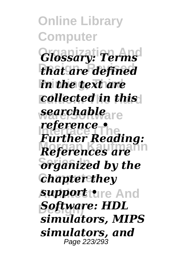**Online Library Computer Organization And** *Glossary: Terms* **Design, Revised** *that are defined in the text are collected in this* **ware/Software** *searchable* **Interface (The** *Further Reading: References are*  $\frac{1}{2}$ *organized by the* **Computer** *chapter they <i>support •*•••••• And **Software: HDL** *reference • simulators, MIPS simulators, and* Page 223/293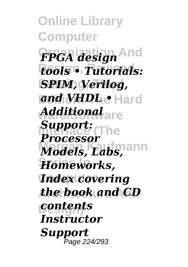**Online Library Computer**  $FPGA$  *design* And **Design, Revised** *tools • Tutorials:* **Printing, Third** *SPIM, Verilog, and VHDL •* **Hard ware/Software** *Additional* **Support:**<br>**Pupport:** The *Models, Labs,* **Series In** *Homeworks,* **Index covering Architecture And** *the book and CD* **Design)** *contents Processor Instructor Support* Page 224/293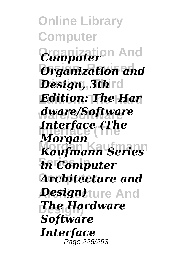**Online Library Computer Organization And** *Computer Organization and Design, 3thrd* **Edition: The Hard** *Edition: The Har* **ware/Software** *dware/Software* **Interface (The** *Interface (The* **Morgan Kaufmann** *Kaufmann Series* **Series In** *in Computer* **Computer** *Architecture and Design)***ture And Design)** *The Hardware Morgan Software Interface* Page 225/293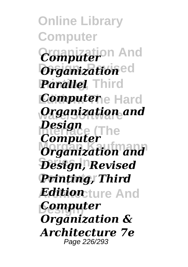**Online Library Computer Organization And** *Computer Organization<sup>ed</sup>* **Parallel**, Third *Computer* e Hard **ware/Software** *Organization and Design*<br>**Computer** *Organization and* **Series In** *Design, Revised* Printing, Third **Architecture And** *Edition* **Design)** *Computer Design Organization & Architecture 7e* Page 226/293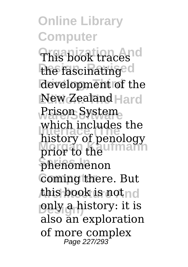**Online Library Computer Organization And** This book traces the fascinating d development of the **New Zealand Hard** Prison System which includes the<br>history of penology prior to the **William Series In** phenomenon **Coming there.** But **this book is not** no **Design)** only a history: it is which includes the also an exploration of more complex Page 227/293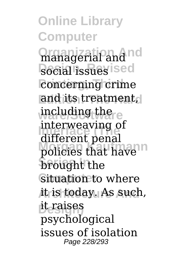**Online Library Computer Organization And** managerial and **Bocial** issues ised *<u>Concerning</u>* crime **Edition** its treatment, including there **Interface (The** different penal policies that have **Series In** brought the **Situation to where Architecture And** it is today. As such, **Design)** it raises interweaving of psychological issues of isolation Page 228/293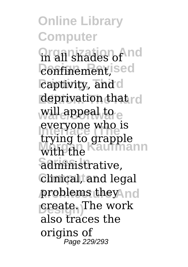**Online Library Computer** *<u>Organization</u>* And  $R$ eonfinement, sed captivity, and d **deprivation that** rd will appeal to e **Interface (The** trying to grapple with the Kaufmann **Series In** administrative, Clinical, and legal **problems they and Design)** create. The work everyone who is also traces the origins of Page 229/293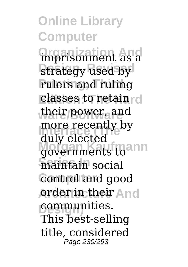**Online Library Computer Organization And** imprisonment as a strategy used by **Pulers and ruling Elasses to retain** d **ware/Software** their power, and more recently by governments to **Series In** maintain social Control and good **Arder in their And communities.** duly elected This best-selling title, considered Page 230/293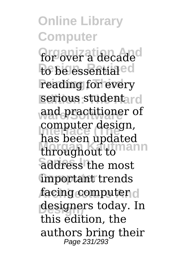**Online Library Computer Organization And** for over a decade to be essential<sup>ed</sup> reading for every **serious studentard** and practitioner of **Interface (The** has been updated throughout to nann address the most **Computer** important trends facing computer d designers today. In computer design, this edition, the authors bring their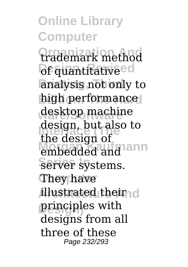**Online Library Computer Organization And** trademark method **Of quantitative ed** analysis not only to high performance desktop machine **Interface (The** the design of embedded and ann **Server** systems. They have *i*llustrated their d **Design)** principles with design, but also to designs from all three of these Page 232/293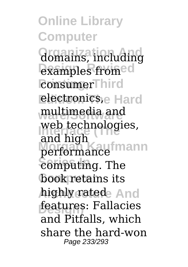**Online Library Computer domains**, including **examples** fromed **Propriet Consumer** Third **Electronics, Hard ware/Software** multimedia and web technologies, performance mann  **The book retains its** highly rated And **Design)** features: Fallacies and high and Pitfalls, which share the hard-won Page 233/293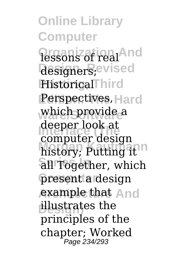**Online Library Computer Organization And** lessons of real designers; evised **Historical** Third Perspectives, Hard which provide a **Interface (The** computer design **Morgan Kaufarity; Putting it In Series In** all Together, which present a design **example that And Design)** illustrates the deeper look at principles of the chapter; Worked Page 234/293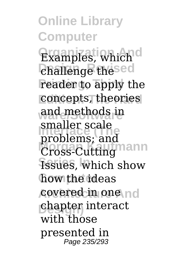**Online Library Computer Organization And** Examples, which **Challenge** thesed reader to apply the concepts, theories and methods in smaner scare<br>problems; and **Cross-Cutting nann Series In** Issues, which show how the ideas **covered in one nd Design)** chapter interact smaller scale with those presented in Page 235/293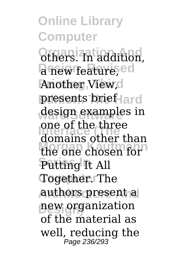**Online Library Computer** Others. In addition, a new feature, ed **Another View, presents brief-ard** design examples in one of the time<br>domains other than the one chosen for Putting It All Together. The authors present a **Design)** new organization one of the three of the material as well, reducing the Page 236/293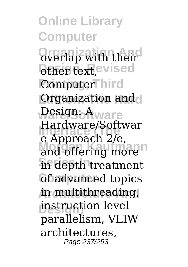**Online Library Computer Organization And** overlap with their **Other text, evised Computer** hird **Organization** and **Design: Aware Interface (The** e Approach 2/e, and offering more **Series In** in-depth treatment *<u>Gf</u>* advanced topics **Architecture And** in multithreading, **instruction level** Hardware/Softwar parallelism, VLIW architectures, Page 237/293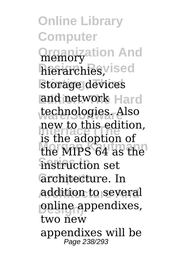**Online Library Computer Organization And** hierarchies, vised storage devices **Eand network** Hard technologies. Also **Interface (The** is the adoption of the MIPS 64 as the **Series In** instruction set **Computer** architecture. In **Architecture And** addition to several **puline** appendixes, new to this edition, two new appendixes will be Page 238/293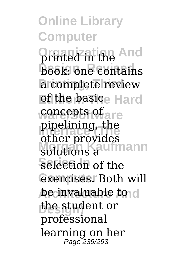**Online Library Computer Organization** And **book:** one contains a complete review *Edithe basice Hard* concepts of are pipeming, the<br>other provides solutions a<sup>utmann</sup> selection of the **Exercises. Both will be invaluable to d Design)** the student or pipelining, the professional learning on her Page 239/293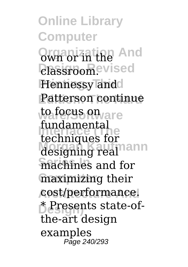**Online Library Computer Organizating And**  $\epsilon$ lassroom. Vised **Hennessy** and Patterson continue **to focus on** are Influenties for designing real<sup>nann</sup> machines and for maximizing their **Architecture And** cost/performance. **Design)** \* Presents state-offundamental the-art design examples Page 240/293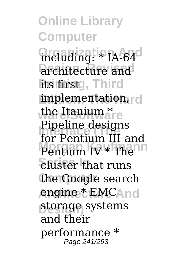**Online Library Computer Meluding!** PIA-64d architecture and its first<sub>g</sub>, Third **implementation, rd the Itanium are Interface (The** for Pentium III and **Pentium IV \* Thenn** *<u>Eluster</u>* that runs the Google search **Architecture And** engine \* EMC **Design)** storage systems Pipeline designs and their performance \* Page 241/293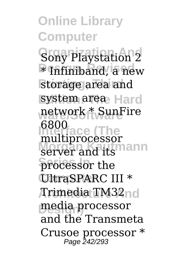**Online Library Computer Sony Playstation 2 Design, Revised** \* Infiniband, a new storage area and system area Hard **ware/Software** network \* SunFire **Interface (The** multiprocessor **Manage Secocion**<br>server and its processor the *CitraSPARC III* \* **Architecture And** Trimedia TM32 **Design)** media processor 6800 and the Transmeta Crusoe processor \* Page 242/293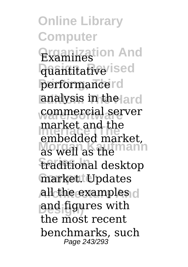**Online Library Computer Organization And** Examines **Quantitative** ised performancerd **analysis in the ard** commercial server **Interface (The** embedded market, as well as the **mann Series In** traditional desktop **Computer** market. Updates **all the examples d Design)** and figures with market and the the most recent benchmarks, such Page 243/293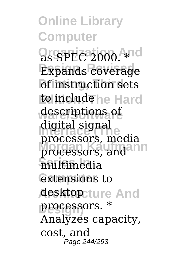**Online Library Computer Organization And** as SPEC 2000. \* **Expands coverage** *<u>Of instruction</u>* sets **to include** he Hard descriptions of **Interface (The** processors, media processors, and **ann Series In** multimedia **extensions** to **desktop**cture And **Design)** processors. \* digital signal Analyzes capacity, cost, and Page 244/293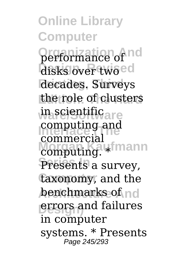**Online Library Computer Performance** of nd disks over two ed decades. Surveys **Edition: The Hard** the role of clusters in scientific<sub>are</sub> **Computing and** computing. \* mann Presents a survey, taxonomy, and the **benchmarks of nd Design)** errors and failures computing and in computer systems. \* Presents Page 245/293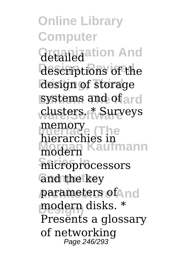**Online Library Computer Quanization And** descriptions of the design of storage systems and of ard **ware/Software** clusters. \* Surveys **Interface (The** hierarchies in **Morgan Kaufmann** modern **Series In** microprocessors and the key **parameters of And Design)** modern disks. \* memory Presents a glossary of networking Page 246/293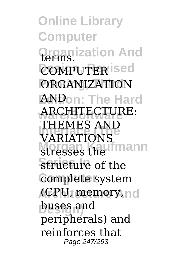**Online Library Computer Organization And** terms. **COMPUTER** ised *ORGANIZATION* **EANDon: The Hard** ARCHITECTURE: **Interface (The** VARIATIONS **Morgan Kaufmann Structure** of the Complete system **(CPU, memory, nd Design)** buses and THEMES AND peripherals) and reinforces that Page 247/293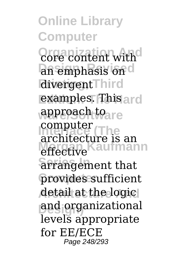**Online Library Computer** *Organization with* an emphasis on d divergent<sup>Third</sup> **examples. This ard** approach to<sub>are</sub> **Computer**<br>architecture is an effective Kaufmann **Series In** arrangement that provides sufficient detail at the logic **ped** organizational computer levels appropriate for EE/ECE Page 248/293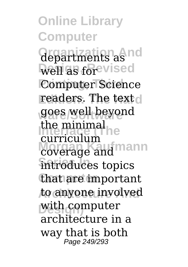**Online Library Computer Organization And** departments as **Well as forevised Computer Science** readers. The text<sub>o</sub> goes well beyond the minimal<br>**Interfaces** coverage and mann **Series In** introduces topics that are important to anyone involved **Design)** with computer curriculum architecture in a way that is both Page 249/293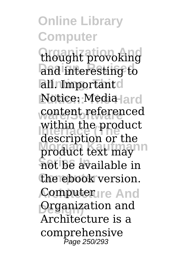**Online Library Computer Organization And** thought provoking and interesting to **Pall. Important Notice: Media ard** content referenced **Interface (The** description or the product text may **Series In** not be available in the ebook version. Computerure And **Design)** Organization and within the product Architecture is a comprehensive Page 250/293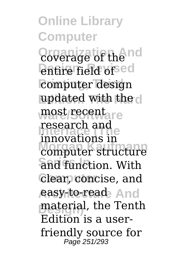**Online Library Computer** *Coverage* of the nd **entire** field ofsed *<u>computer</u>* design updated with the d most/secent<sub>are</sub> **I** research and  $\epsilon$ **MORGAN HIS COMPUTER STRUCTURE Series In** and function. With **Clear**, concise, and **easy-to-read** And material, the Tenth research and Edition is a userfriendly source for Page 251/293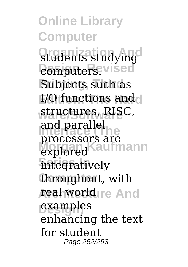**Online Library Computer Students studying** *<u>Domputers</u>*.vised Subjects such as **I/O functions and ware/Software** structures, RISC, and paraner<br>processors are explored <sup>Kaufmann</sup> **Series In** integratively throughout, with **real world** re And **Design)** examples and parallel enhancing the text for student Page 252/293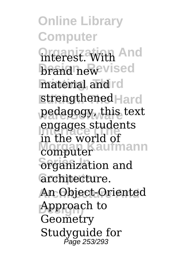**Online Library Computer Interest. With And brand new vised** material, and rd **strengthened** Hard **ware/Software** pedagogy, this text engages stude<br>in the world of **Computer Serganization** and **Computer** architecture. An Object-Oriented **Design)** Approach to engages students Geometry Studyguide for Page 253/293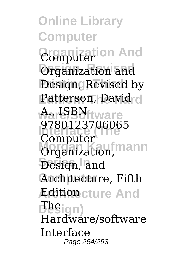**Online Library Computer Organization And** Computer **Organization** and **Design, Revised by Patterson, David d AarlSBNtware Interface (The** 9780123706065 **Organization**, mann **Series In** Design, and Architecture, Fifth **Ædition**cture And **Design)** Computer Hardware/software Interface Page 254/293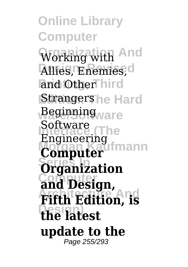**Online Library Computer** Working with And Allies, Enemies, d and Other hird **Strangers**he Hard **Beginning**<sub>ware</sub> **Interface (The** Engineering<br>Coman Kaufmann **Series In Organization Computer and Design, Architecture And Fifth Edition, is Design) the latest** Software **Computer update to the** Page 255/293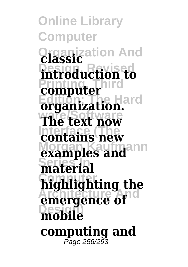**Online Library Computer Organization And classic Design, Revised introduction to Prop**riet **Edition: The Hard organization. ware/Software The text now Interface (The contains new examples and Series In material highlighting the emergence** of **Design) mobile computing and** Page 256/293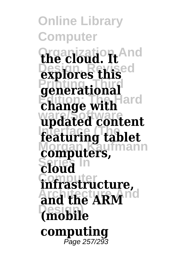**Online Library Computer Organization And the cloud. It** explores this **Printing, Third generational Change with ware/Software updated content Interface (The featuring tablet Computers, Series In cloud Computer infrastructure,** and the ARM **Design) (mobile computing** Page 257/293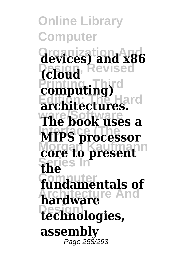**Online Library Computer** devices) and x86 **Design, Revised (cloud computing) Edition: The Hard architectures. ware/Software The book uses a Interface (The MIPS processor Morgan Kaufmann Series In Computer fundamentals of Architecture And hardware Design) technologies, core to present the assembly** Page 258/293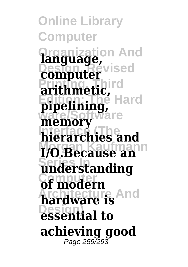**Online Library Computer Organization And language, Computer** arithmetic, **pipelining, ware Interface (The hierarchies and I/O.Because an Series In understanding** of modern **Architecture And hardware is Design) essential to achieving good** Page 259/293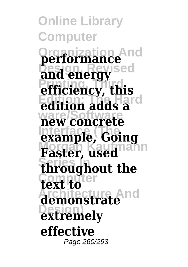**Online Library Computer Organization And and energy** sed **Printing, Third efficiency, this edition** adds a<sup>rd</sup> **ware/Software new concrete Interface (The example, Going Morgan Kaufmann Faster, used Series In throughout the Computer text to Architecture And demonstrate Design) extremely performance effective** Page 260/293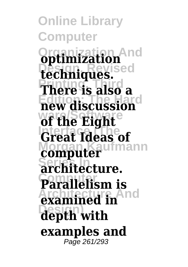**Online Library Computer Organization And optimization Design, Revised techniques. There is also a Edition: The Hard new discussion** of the Eight<sup>e</sup> **Interface (The Great Ideas of Morgan Kaufmann computer Series In architecture. Computer Parallelism is examined in Design) depth with examples and** Page 261/293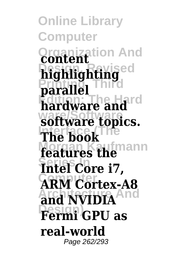**Online Library Computer Organization And content Design, Revised Printing, Third hardware** and **ware/Software software topics. Interface (The The book Morgan Kaufmann features the Series In Intel Core i7, ARM Cortex-A8 And NVIDIA Design) Fermi GPU as highlighting parallel real-world** Page 262/293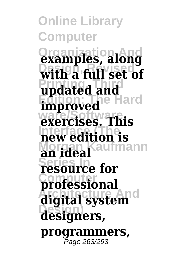**Online Library Computer Organization And examples, along** with a full set of **Printing, Third Edition: The Hard ware/Software exercises. This Interface (The new edition is Morgan Kaufmann an ideal Series In resource for Computer professional Architecture And digital system Design) designers, updated and improved programmers,** Page 263/293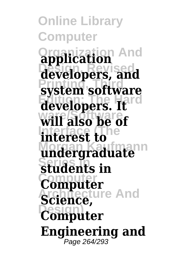**Online Library Computer Organization And application Design, Revised developers, and Printing, Third system software Edition: The Hard developers. It** will also be of **interest to** undergraduate **Series In students in Computer Computer Science, Design) Computer Engineering and** Page 264/293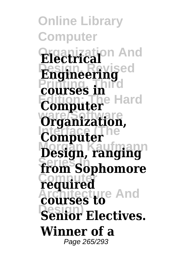**Online Library Computer Organization And Electrical Design, Revised Printing, Third Edition: The Hard Computer ware/Software Organization, Computer Morgan Kaufmann Design, ranging Series In from Sophomore Computer required Architecture And courses to Design) Senior Electives. Engineering courses in Winner of a** Page 265/293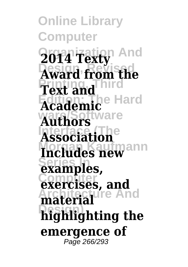**Online Library Computer Organization And 2014 Texty Design, Revised Award from the** Text and **Edition: The Hard Academic Authors Interface (The Association Includes new Series In examples, Computer exercises, and Architecture And material Design) highlighting the emergence of** Page 266/293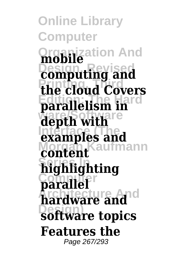**Online Library Computer Organization And mobile Design, Revised computing and Printing, Third the cloud Covers Edition: The Hard parallelism in** depth with **Interface (The examples and Morgan Kaufmann content Series In highlighting Computer parallel Architecture And hardware and Software topics Features the** Page 267/293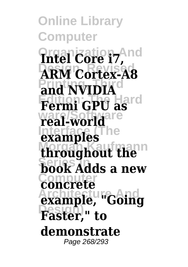**Online Library Computer Organization And Intel Core i7, Design, Revised ARM Cortex-A8** and NVIDIA<sup>d</sup> **Edition: The Hard Fermi GPU as ware/Software real-world Interface throughout the Series In book Adds a new Computer concrete Architecture And example, "Going Design) Faster," to demonstrate** Page 268/293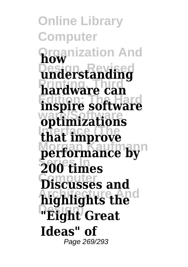**Online Library Computer Organization And how Design, Revised understanding Printing, Third hardware can Edition: The Hard inspire software ware/Software optimizations Interface (The that improve** performance by **Series In 200 times Computer Discusses and Architecture And highlights the Design) "Eight Great Ideas" of** Page 269/293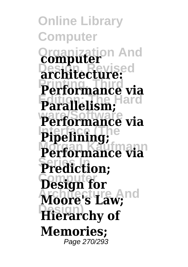**Online Library Computer Organization And computer Design, Revised architecture: Performance via Edition: The Hard Parallelism; Performance via Pipelining; Performance via Series In Prediction; Computer Design for Moore's Law; Design) Hierarchy of Memories;** Page 270/293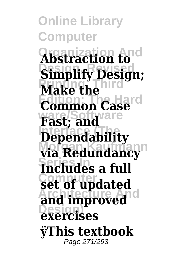**Online Library Computer Organization And Abstraction to Simplify Design; Make the Edition: The Hard Common Case ware/Software Fast; and Interface (The Dependability Morgan Kaufmann via Redundancy Series In Includes a full Computer set of updated** and improved **Design) exercises ÿThis textbook** Page 271/293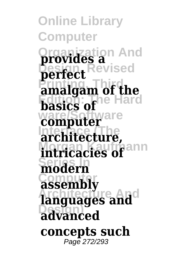**Online Library Computer Organization And provides a Design, Revised Printing, Third amalgam of the Edition: The Hard basics of ware/Software computer Interface (The architecture, intricacies of Series In modern Computer assembly Architecture And languages and Design) advanced perfect concepts such** Page 272/293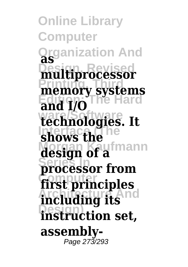**Online Library Computer Organization And as Design, Revised multiprocessor Printing, Third memory systems Edition: The Hard and I/O ware/Software technologies. It** shows the **Morgan Kaufmann design of a Series In processor from first principles Architecture And including its Design) instruction set, assembly-**Page 273/293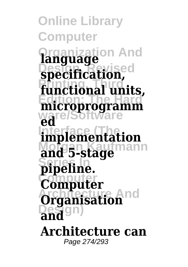**Online Library Computer Organization And language Design, Revised specification,** functional units, **Edition: The Hard ware/Software Interface (The implementation Morgan Kaufmann and 5-stage Series In pipeline. Computer Computer Organisation** nd **Design) and microprogramm ed Architecture can** Page 274/293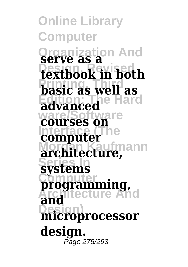**Online Library Computer Organization And serve as a Design, Revised textbook in both Printing, Third basic as well as Edition: The Hard advanced ware/Software courses on Computer Morgan Kaufmann architecture, Series In systems Computer Architecture And Design) microprocessor programming, and design.** Page 275/293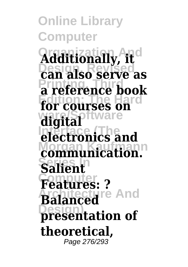**Online Library Computer Organization And Additionally, it Design, Revised can also serve as Printing, Third a reference book** for courses on **ware/Software digital Interface (The electronics and Morgan Kaufmann communication. Series In Salient Computer Features: ? Architecture And Balanced Design) presentation of theoretical,** Page 276/293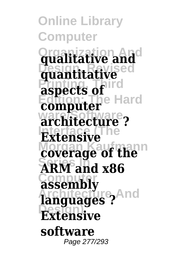**Online Library Computer Organization And qualitative and Design, Revised quantitative aspects of Edition: The Hard computer ware/Software architecture ? Extensive** *coverage of the* **Series In ARM and x86 Computer assembly** languages ? And **Design) Extensive software** Page 277/293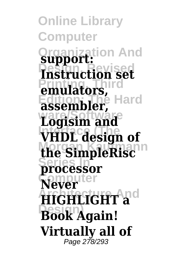**Online Library Computer Organization And support: Design, Revised Instruction set Printing, Third emulators, Edition: The Hard assembler, ware/Software Logisim and Interface (The VHDL design of** the SimpleRisc<sup>n</sup> **Series In processor Computer Never Architecture And HIGHLIGHT a Design) Book Again! Virtually all of** Page 278/293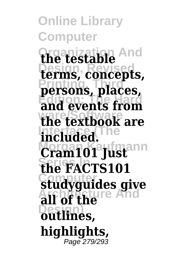**Online Library Computer Organization And the testable Design, Revised terms, concepts, Printing, Third persons, places, Edition: The Hard and events from ware/Software the textbook are Interface (The included.** Cram101 Just<sup>ann</sup> **Series In the FACTS101** studyguides give **Architecture And all of the Design) outlines, highlights,** Page 279/293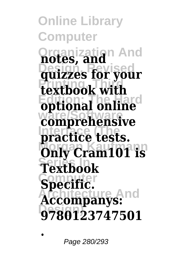**Online Library Computer Organization And notes, and Design, Revised quizzes for your Printing, Third textbook with Edition: The Hard optional online ware/Software comprehensive Interface (The practice tests. Only Cram101 is Series In Textbook** Specific. **Accompanys: Design) 9780123747501**

Page 280/293

**.**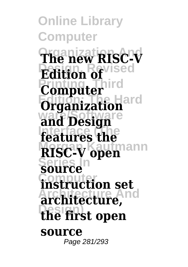**Online Library Computer Organization And The new RISC-V Design, Revised Edition of Computer Organization ware/Software and Design Interface (The features the Morgan Kaufmann Series In Computer instruction set Architecture And architecture, Design) the first open RISC-V open source source** Page 281/293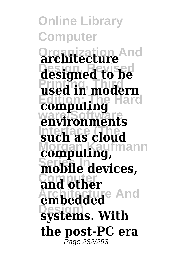**Online Library Computer Organization And architecture** designed to be **Printing, Third used in modern Edition: The Hard computing ware/Software environments** such as cloud **Computing, Series In mobile devices, Computer and other Architecture And embedded Design) systems. With the post-PC era** Page 282/293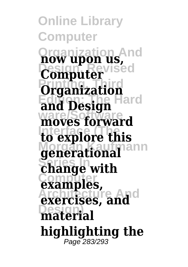**Online Library Computer Organization And now upon us, Design, Revised Computer Organization Edition: The Hard and Design ware/Software moves forward Interface (The to explore this generational Series In change with Computer examples, exercises, and Design) material highlighting the** Page 283/293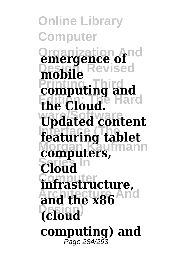**Online Library Computer Organization And emergence of Design, Revised mobile computing** and **Edition: The Hard the Cloud. ware/Software Updated content Interface (The featuring tablet Computers, Series In Cloud Computer infrastructure,** and the x86 **Design) (cloud** computing) and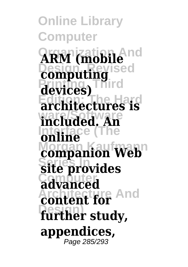**Online Library Computer**  $ARM$  (mobile<sup>nd</sup> **Computing** devices) **Edition: The Hard architectures is ware/Software included. An Interface (The Companion Web Series In site provides Computer advanced Architecture And content for Design) further study, online appendices,** Page 285/293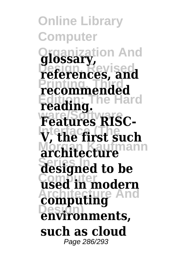**Online Library Computer Zation And Design, Revised references, and Printing, Third recommended Edition: The Hard reading.** Features RISC-**Interface (The V, the first such Architecture Series In designed to be Computer used in modern Architecture And computing Design) environments, glossar such as cloud** Page 286/293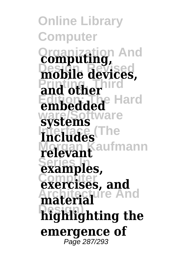**Online Library Computer Organization And computing,** mobile devices, and other **Edition: The Hard embedded systems Interface (The Includes Morgan Kaufmann relevant Series In examples, Computer exercises, and Architecture And material Design) highlighting the emergence of** Page 287/293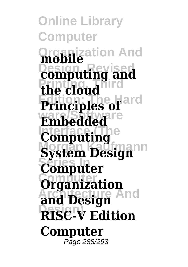**Online Library Computer Organization And mobile Design, Revised computing and** the cloud **Principles of Embedded Computing System Design Series In Computer Computer Organization Architecture And and Design Design) RISC-V Edition Computer** Page 288/293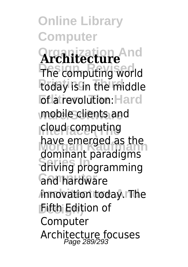**Online Library Computer Organization And Architecture** The computing world today is in the middle **Edition: Hard** wobile clients and **Interface (The** cloud computing **Morgan Kaufmann** dominant paradigms **Series In** driving programming and hardware **Architecture And** innovation today. The **Ditth Edition of** have emerged as the **Computer** Architecture focuses Page 289/293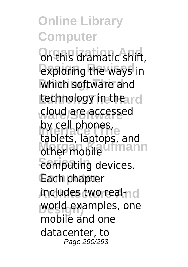**Online Library Computer On this dramatic shift, exploring the ways in** which software and **technology in the ard ware/Software** cloud are accessed **Interface (The** tablets, laptops, and other mobile<sup>d</sup> mann *<u>Computing</u>* devices. Each chapter **Architecture And** includes two real**world examples, one** by cell phones, mobile and one datacenter, to Page 290/293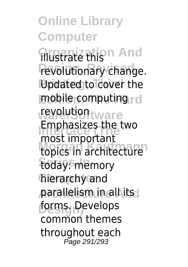**Online Library Computer Mustrate this n And** revolutionary change. **Ppdated to cover the mobile computing rd wevelutiontware Interface (The** most important **Most important Series In** today: memory **hierarchy and parallelism in all its l Design)** forms. Develops Emphasizes the two common themes throughout each Page 291/293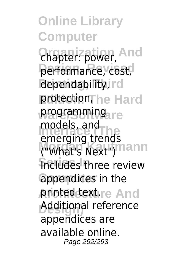**Online Library Computer Organization And** chapter: power, performance, cost, **dependability, rd** protection<sub>The Hard</sub> programming<sub>are</sub> **Interface (The** emerging trends ("What's Next") nann **Includes** three review **appendices** in the **Arinted text.re And Additional reference** models, and appendices are available online. Page 292/293